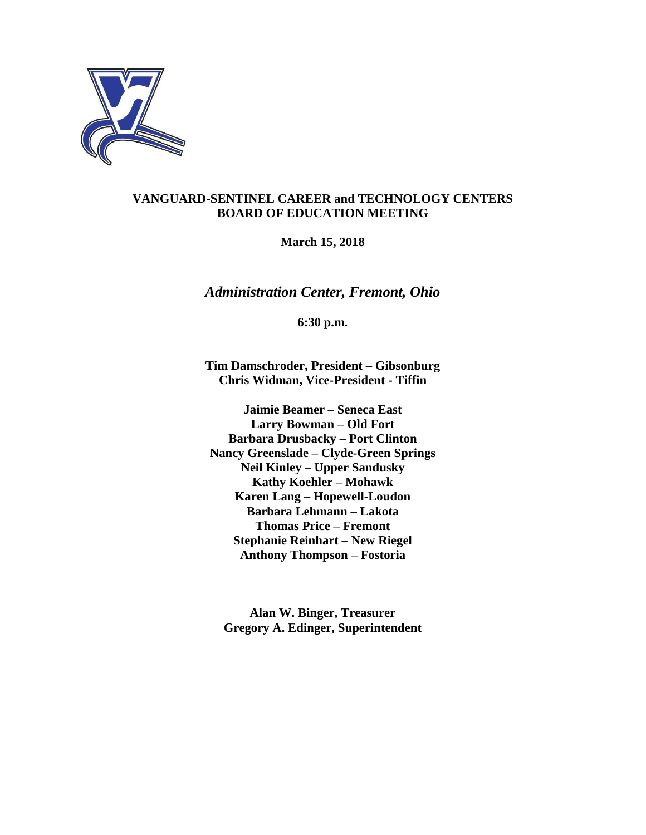

# **VANGUARD-SENTINEL CAREER and TECHNOLOGY CENTERS BOARD OF EDUCATION MEETING**

**March 15, 2018**

*Administration Center, Fremont, Ohio*

**6:30 p.m.**

**Tim Damschroder, President – Gibsonburg Chris Widman, Vice-President - Tiffin**

**Jaimie Beamer – Seneca East Larry Bowman – Old Fort Barbara Drusbacky – Port Clinton Nancy Greenslade – Clyde-Green Springs Neil Kinley – Upper Sandusky Kathy Koehler – Mohawk Karen Lang – Hopewell-Loudon Barbara Lehmann – Lakota Thomas Price – Fremont Stephanie Reinhart – New Riegel Anthony Thompson – Fostoria**

**Alan W. Binger, Treasurer Gregory A. Edinger, Superintendent**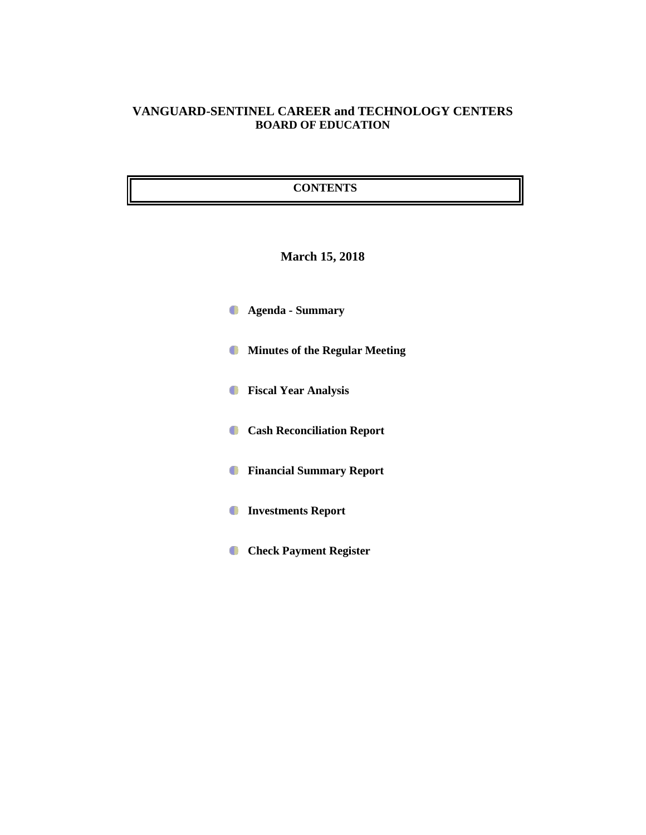# **VANGUARD-SENTINEL CAREER and TECHNOLOGY CENTERS BOARD OF EDUCATION**

## **CONTENTS**

# **March 15, 2018**

- **Agenda - Summary**
- **Minutes of the Regular Meeting**
- **Fiscal Year Analysis**
- **Cash Reconciliation Report**
- **Financial Summary Report**
- **Investments Report**
- **Check Payment Register**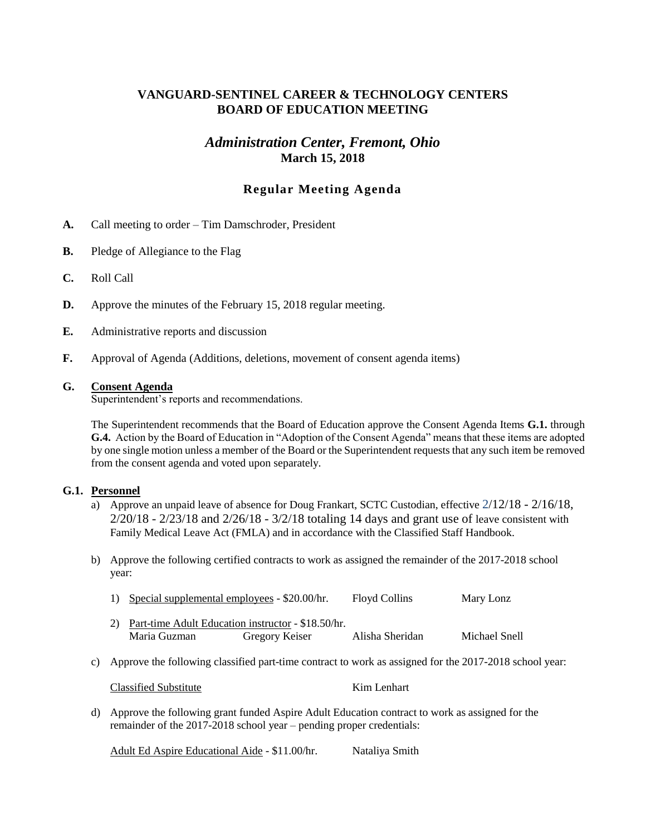# **VANGUARD-SENTINEL CAREER & TECHNOLOGY CENTERS BOARD OF EDUCATION MEETING**

# *Administration Center, Fremont, Ohio* **March 15, 2018**

## **Regular Meeting Agenda**

- **A.** Call meeting to order Tim Damschroder, President
- **B.** Pledge of Allegiance to the Flag
- **C.** Roll Call
- **D.** Approve the minutes of the February 15, 2018 regular meeting.
- **E.** Administrative reports and discussion
- **F.** Approval of Agenda (Additions, deletions, movement of consent agenda items)

#### **G. Consent Agenda**

Superintendent's reports and recommendations.

The Superintendent recommends that the Board of Education approve the Consent Agenda Items **G.1.** through **G.4.** Action by the Board of Education in "Adoption of the Consent Agenda" means that these items are adopted by one single motion unless a member of the Board or the Superintendent requests that any such item be removed from the consent agenda and voted upon separately.

#### **G.1. Personnel**

- a) Approve an unpaid leave of absence for Doug Frankart, SCTC Custodian, effective 2/12/18 2/16/18,  $2/20/18$  -  $2/23/18$  and  $2/26/18$  -  $3/2/18$  totaling 14 days and grant use of leave consistent with Family Medical Leave Act (FMLA) and in accordance with the Classified Staff Handbook.
- b) Approve the following certified contracts to work as assigned the remainder of the 2017-2018 school year:

| 1) Special supplemental employees - \$20.00/hr.       |                | <b>Floyd Collins</b> | Mary Lonz     |
|-------------------------------------------------------|----------------|----------------------|---------------|
| 2) Part-time Adult Education instructor - \$18.50/hr. |                |                      |               |
| Maria Guzman                                          | Gregory Keiser | Alisha Sheridan      | Michael Snell |

c) Approve the following classified part-time contract to work as assigned for the 2017-2018 school year:

Classified Substitute Kim Lenhart

d) Approve the following grant funded Aspire Adult Education contract to work as assigned for the remainder of the 2017-2018 school year – pending proper credentials:

Adult Ed Aspire Educational Aide - \$11.00/hr. Nataliya Smith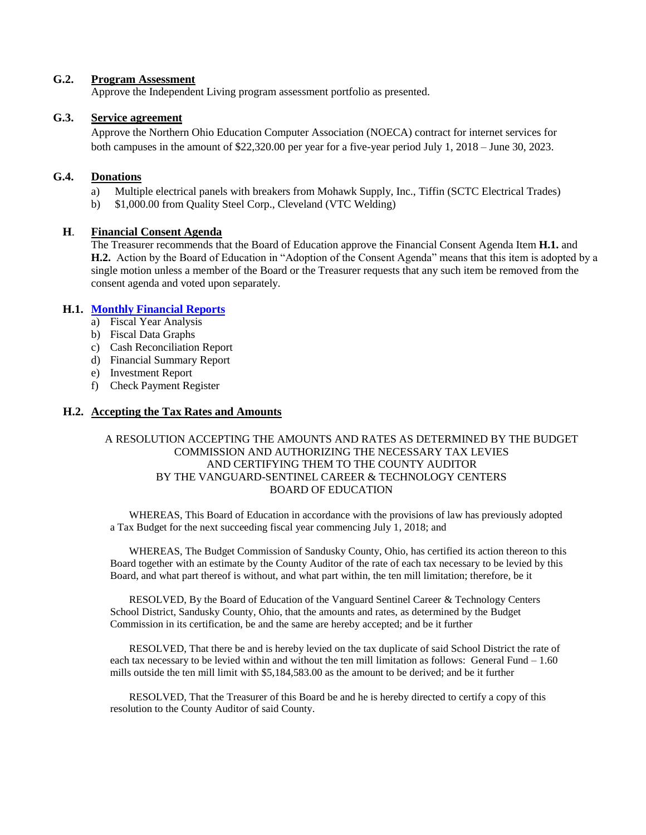## **G.2. Program Assessment**

Approve the Independent Living program assessment portfolio as presented.

## **G.3. Service agreement**

Approve the Northern Ohio Education Computer Association (NOECA) contract for internet services for both campuses in the amount of \$22,320.00 per year for a five-year period July 1, 2018 – June 30, 2023.

## **G.4. Donations**

- a) Multiple electrical panels with breakers from Mohawk Supply, Inc., Tiffin (SCTC Electrical Trades)
- b) \$1,000.00 from Quality Steel Corp., Cleveland (VTC Welding)

## **H**. **Financial Consent Agenda**

The Treasurer recommends that the Board of Education approve the Financial Consent Agenda Item **H.1.** and **H.2.** Action by the Board of Education in "Adoption of the Consent Agenda" means that this item is adopted by a single motion unless a member of the Board or the Treasurer requests that any such item be removed from the consent agenda and voted upon separately.

#### **H.1. [Monthly Financial Reports](http://boe.vscc.k12.oh.us/Board%20of%20Education/Treasurer/Mar%2018/Treasurers%20Report%20Mar%2018.pdf)**

- a) Fiscal Year Analysis
- b) Fiscal Data Graphs
- c) Cash Reconciliation Report
- d) Financial Summary Report
- e) Investment Report
- f) Check Payment Register

#### **H.2. Accepting the Tax Rates and Amounts**

#### A RESOLUTION ACCEPTING THE AMOUNTS AND RATES AS DETERMINED BY THE BUDGET COMMISSION AND AUTHORIZING THE NECESSARY TAX LEVIES AND CERTIFYING THEM TO THE COUNTY AUDITOR BY THE VANGUARD-SENTINEL CAREER & TECHNOLOGY CENTERS BOARD OF EDUCATION

WHEREAS, This Board of Education in accordance with the provisions of law has previously adopted a Tax Budget for the next succeeding fiscal year commencing July 1, 2018; and

WHEREAS, The Budget Commission of Sandusky County, Ohio, has certified its action thereon to this Board together with an estimate by the County Auditor of the rate of each tax necessary to be levied by this Board, and what part thereof is without, and what part within, the ten mill limitation; therefore, be it

RESOLVED, By the Board of Education of the Vanguard Sentinel Career & Technology Centers School District, Sandusky County, Ohio, that the amounts and rates, as determined by the Budget Commission in its certification, be and the same are hereby accepted; and be it further

RESOLVED, That there be and is hereby levied on the tax duplicate of said School District the rate of each tax necessary to be levied within and without the ten mill limitation as follows: General Fund – 1.60 mills outside the ten mill limit with \$5,184,583.00 as the amount to be derived; and be it further

RESOLVED, That the Treasurer of this Board be and he is hereby directed to certify a copy of this resolution to the County Auditor of said County.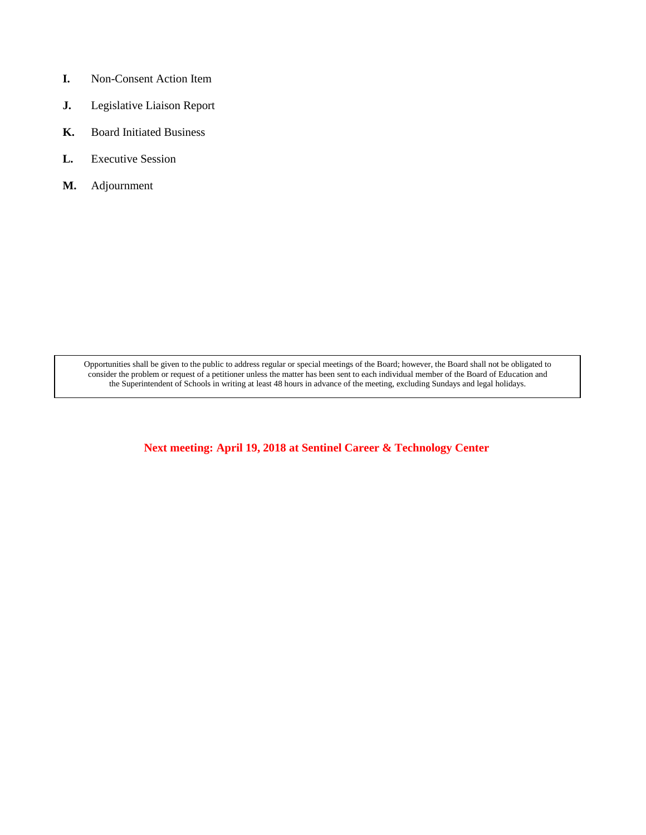- **I.** Non-Consent Action Item
- **J.** Legislative Liaison Report
- **K.** Board Initiated Business
- **L.** Executive Session
- **M.** Adjournment

Opportunities shall be given to the public to address regular or special meetings of the Board; however, the Board shall not be obligated to consider the problem or request of a petitioner unless the matter has been sent to each individual member of the Board of Education and the Superintendent of Schools in writing at least 48 hours in advance of the meeting, excluding Sundays and legal holidays.

**Next meeting: April 19, 2018 at Sentinel Career & Technology Center**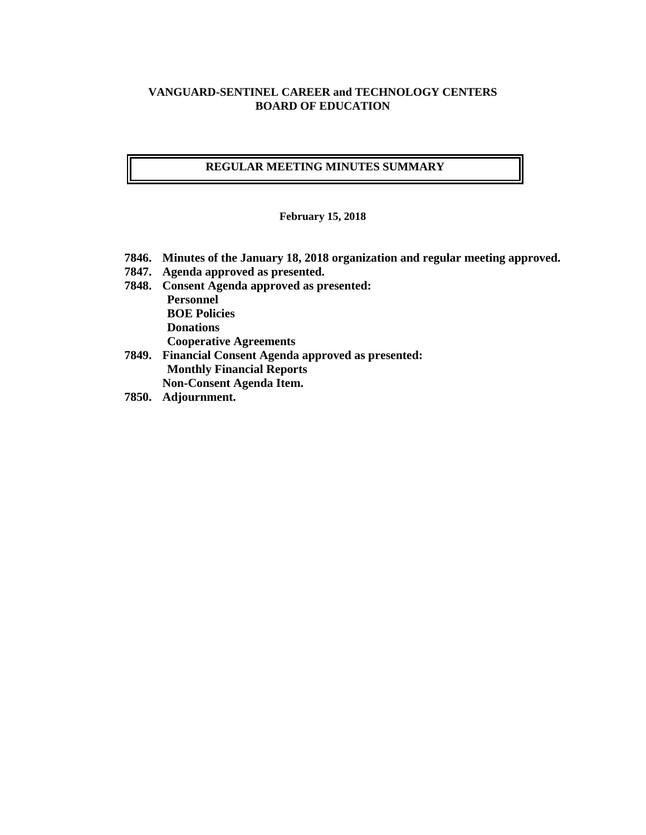## **VANGUARD-SENTINEL CAREER and TECHNOLOGY CENTERS BOARD OF EDUCATION**

## **REGULAR MEETING MINUTES SUMMARY**

**February 15, 2018**

- **7846. Minutes of the January 18, 2018 organization and regular meeting approved.**
- **7847. Agenda approved as presented.**
- **7848. Consent Agenda approved as presented: Personnel BOE Policies Donations Cooperative Agreements**
- **7849. Financial Consent Agenda approved as presented: Monthly Financial Reports Non-Consent Agenda Item.**
- **7850. Adjournment.**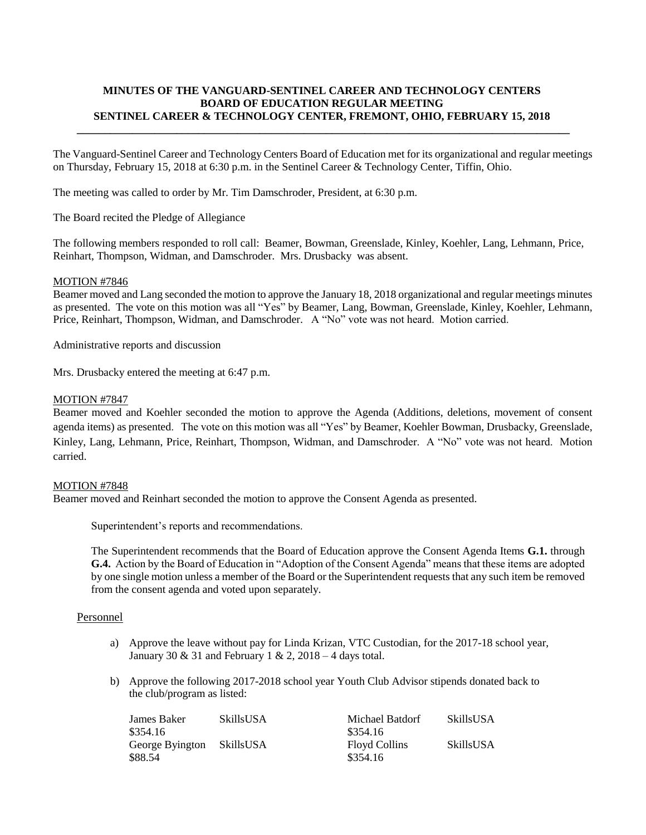## **MINUTES OF THE VANGUARD-SENTINEL CAREER AND TECHNOLOGY CENTERS BOARD OF EDUCATION REGULAR MEETING SENTINEL CAREER & TECHNOLOGY CENTER, FREMONT, OHIO, FEBRUARY 15, 2018 \_\_\_\_\_\_\_\_\_\_\_\_\_\_\_\_\_\_\_\_\_\_\_\_\_\_\_\_\_\_\_\_\_\_\_\_\_\_\_\_\_\_\_\_\_\_\_\_\_\_\_\_\_\_\_\_\_\_\_\_\_\_\_\_\_\_\_\_\_\_\_\_\_\_\_\_\_\_\_\_\_\_\_\_\_\_\_\_\_**

The Vanguard-Sentinel Career and Technology Centers Board of Education met for its organizational and regular meetings on Thursday, February 15, 2018 at 6:30 p.m. in the Sentinel Career & Technology Center, Tiffin, Ohio.

The meeting was called to order by Mr. Tim Damschroder, President, at 6:30 p.m.

The Board recited the Pledge of Allegiance

The following members responded to roll call: Beamer, Bowman, Greenslade, Kinley, Koehler, Lang, Lehmann, Price, Reinhart, Thompson, Widman, and Damschroder. Mrs. Drusbacky was absent.

#### MOTION #7846

Beamer moved and Lang seconded the motion to approve the January 18, 2018 organizational and regular meetings minutes as presented. The vote on this motion was all "Yes" by Beamer, Lang, Bowman, Greenslade, Kinley, Koehler, Lehmann, Price, Reinhart, Thompson, Widman, and Damschroder. A "No" vote was not heard. Motion carried.

Administrative reports and discussion

Mrs. Drusbacky entered the meeting at 6:47 p.m.

#### MOTION #7847

Beamer moved and Koehler seconded the motion to approve the Agenda (Additions, deletions, movement of consent agenda items) as presented. The vote on this motion was all "Yes" by Beamer, Koehler Bowman, Drusbacky, Greenslade, Kinley, Lang, Lehmann, Price, Reinhart, Thompson, Widman, and Damschroder. A "No" vote was not heard. Motion carried.

#### MOTION #7848

Beamer moved and Reinhart seconded the motion to approve the Consent Agenda as presented.

Superintendent's reports and recommendations.

The Superintendent recommends that the Board of Education approve the Consent Agenda Items **G.1.** through **G.4.** Action by the Board of Education in "Adoption of the Consent Agenda" means that these items are adopted by one single motion unless a member of the Board or the Superintendent requests that any such item be removed from the consent agenda and voted upon separately.

#### Personnel

- a) Approve the leave without pay for Linda Krizan, VTC Custodian, for the 2017-18 school year, January 30 & 31 and February 1 & 2,  $2018 - 4$  days total.
- b) Approve the following 2017-2018 school year Youth Club Advisor stipends donated back to the club/program as listed:

| James Baker     | <b>SkillsUSA</b> | Michael Batdorf      | <b>SkillsUSA</b> |
|-----------------|------------------|----------------------|------------------|
| \$354.16        |                  | \$354.16             |                  |
| George Byington | SkillsUSA        | <b>Floyd Collins</b> | <b>SkillsUSA</b> |
| \$88.54         |                  | \$354.16             |                  |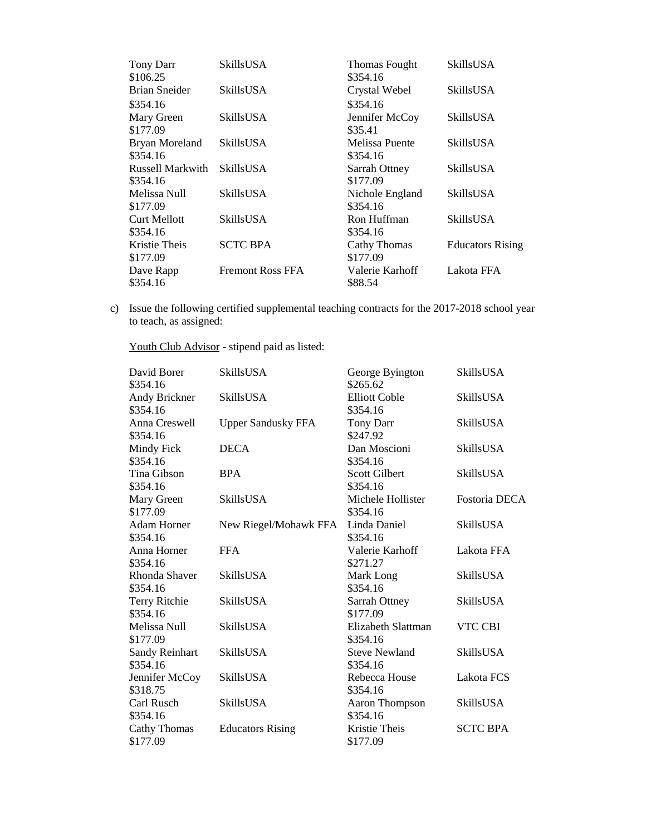| <b>Tony Darr</b><br>\$106.25 | <b>SkillsUSA</b>        | <b>Thomas Fought</b><br>\$354.16 | <b>SkillsUSA</b>        |
|------------------------------|-------------------------|----------------------------------|-------------------------|
| <b>Brian Sneider</b>         | <b>SkillsUSA</b>        | Crystal Webel                    | <b>SkillsUSA</b>        |
| \$354.16                     |                         | \$354.16                         |                         |
| Mary Green                   | SkillsUSA               | Jennifer McCoy                   | SkillsUSA               |
| \$177.09                     |                         | \$35.41                          |                         |
| <b>Bryan Moreland</b>        | SkillsUSA               | Melissa Puente                   | SkillsUSA               |
| \$354.16                     |                         | \$354.16                         |                         |
| <b>Russell Markwith</b>      | <b>SkillsUSA</b>        | Sarrah Ottney                    | SkillsUSA               |
| \$354.16                     |                         | \$177.09                         |                         |
| Melissa Null                 | SkillsUSA               | Nichole England                  | SkillsUSA               |
| \$177.09                     |                         | \$354.16                         |                         |
| <b>Curt Mellott</b>          | SkillsUSA               | Ron Huffman                      | SkillsUSA               |
| \$354.16                     |                         | \$354.16                         |                         |
| Kristie Theis                | <b>SCTC BPA</b>         | Cathy Thomas                     | <b>Educators Rising</b> |
| \$177.09                     |                         | \$177.09                         |                         |
| Dave Rapp                    | <b>Fremont Ross FFA</b> | Valerie Karhoff                  | Lakota FFA              |
| \$354.16                     |                         | \$88.54                          |                         |

c) Issue the following certified supplemental teaching contracts for the 2017-2018 school year to teach, as assigned:

Youth Club Advisor - stipend paid as listed:

| David Borer<br>\$354.16           | SkillsUSA                 | George Byington<br>\$265.62      | SkillsUSA        |
|-----------------------------------|---------------------------|----------------------------------|------------------|
| Andy Brickner<br>\$354.16         | SkillsUSA                 | <b>Elliott Coble</b><br>\$354.16 | <b>SkillsUSA</b> |
| Anna Creswell<br>\$354.16         | <b>Upper Sandusky FFA</b> | <b>Tony Darr</b><br>\$247.92     | SkillsUSA        |
| Mindy Fick<br>\$354.16            | <b>DECA</b>               | Dan Moscioni<br>\$354.16         | <b>SkillsUSA</b> |
| Tina Gibson<br>\$354.16           | <b>BPA</b>                | <b>Scott Gilbert</b><br>\$354.16 | SkillsUSA        |
| Mary Green<br>\$177.09            | <b>SkillsUSA</b>          | Michele Hollister<br>\$354.16    | Fostoria DECA    |
| <b>Adam Horner</b><br>\$354.16    | New Riegel/Mohawk FFA     | Linda Daniel<br>\$354.16         | <b>SkillsUSA</b> |
| Anna Horner<br>\$354.16           | <b>FFA</b>                | Valerie Karhoff<br>\$271.27      | Lakota FFA       |
| Rhonda Shaver<br>\$354.16         | <b>SkillsUSA</b>          | Mark Long<br>\$354.16            | <b>SkillsUSA</b> |
| <b>Terry Ritchie</b><br>\$354.16  | <b>SkillsUSA</b>          | Sarrah Ottney<br>\$177.09        | <b>SkillsUSA</b> |
| Melissa Null<br>\$177.09          | SkillsUSA                 | Elizabeth Slattman<br>\$354.16   | VTC CBI          |
| <b>Sandy Reinhart</b><br>\$354.16 | <b>SkillsUSA</b>          | <b>Steve Newland</b><br>\$354.16 | <b>SkillsUSA</b> |
| Jennifer McCoy<br>\$318.75        | <b>SkillsUSA</b>          | Rebecca House<br>\$354.16        | Lakota FCS       |
| Carl Rusch<br>\$354.16            | <b>SkillsUSA</b>          | Aaron Thompson<br>\$354.16       | <b>SkillsUSA</b> |
| <b>Cathy Thomas</b><br>\$177.09   | <b>Educators Rising</b>   | Kristie Theis<br>\$177.09        | <b>SCTC BPA</b>  |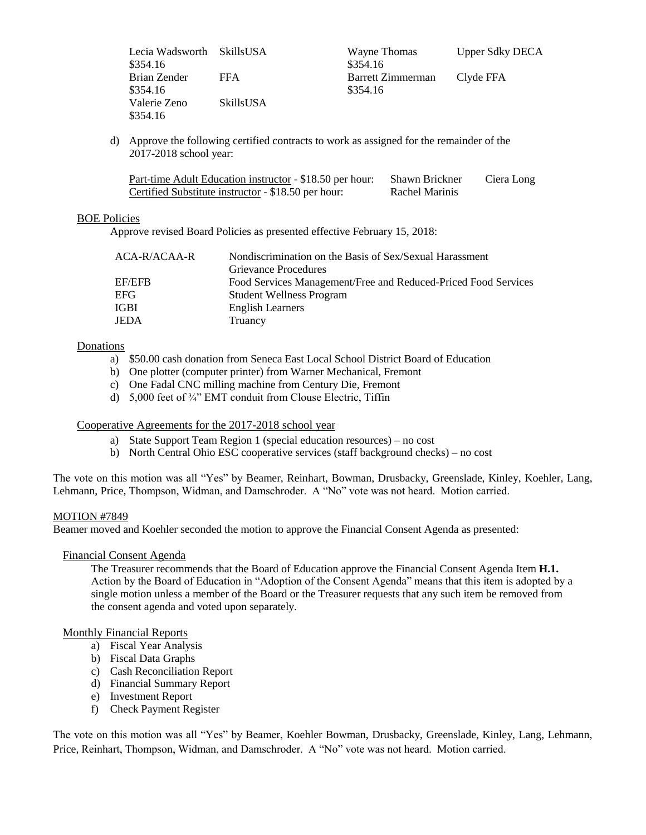| Lecia Wadsworth SkillsUSA |                  |
|---------------------------|------------------|
| \$354.16                  |                  |
| Brian Zender              | FFA              |
| \$354.16                  |                  |
| Valerie Zeno              | <b>SkillsUSA</b> |
| \$354.16                  |                  |

Wayne Thomas Upper Sdky DECA  $$354.16$ Barrett Zimmerman Clyde FFA  $$354.16$ 

d) Approve the following certified contracts to work as assigned for the remainder of the 2017-2018 school year:

| Part-time Adult Education instructor - \$18.50 per hour: | Shawn Brickner | Ciera Long |
|----------------------------------------------------------|----------------|------------|
| Certified Substitute instructor - \$18.50 per hour:      | Rachel Marinis |            |

## BOE Policies

Approve revised Board Policies as presented effective February 15, 2018:

| ACA-R/ACAA-R  | Nondiscrimination on the Basis of Sex/Sexual Harassment        |
|---------------|----------------------------------------------------------------|
|               | <b>Grievance Procedures</b>                                    |
| <b>EF/EFB</b> | Food Services Management/Free and Reduced-Priced Food Services |
| EFG           | <b>Student Wellness Program</b>                                |
| IGBI          | <b>English Learners</b>                                        |
| JEDA          | Truancy                                                        |
|               |                                                                |

## Donations

- a) \$50.00 cash donation from Seneca East Local School District Board of Education
- b) One plotter (computer printer) from Warner Mechanical, Fremont
- c) One Fadal CNC milling machine from Century Die, Fremont
- d) 5,000 feet of ¾" EMT conduit from Clouse Electric, Tiffin

## Cooperative Agreements for the 2017-2018 school year

- a) State Support Team Region 1 (special education resources) no cost
- b) North Central Ohio ESC cooperative services (staff background checks) no cost

The vote on this motion was all "Yes" by Beamer, Reinhart, Bowman, Drusbacky, Greenslade, Kinley, Koehler, Lang, Lehmann, Price, Thompson, Widman, and Damschroder. A "No" vote was not heard. Motion carried.

## MOTION #7849

Beamer moved and Koehler seconded the motion to approve the Financial Consent Agenda as presented:

## Financial Consent Agenda

The Treasurer recommends that the Board of Education approve the Financial Consent Agenda Item **H.1.** Action by the Board of Education in "Adoption of the Consent Agenda" means that this item is adopted by a single motion unless a member of the Board or the Treasurer requests that any such item be removed from the consent agenda and voted upon separately.

#### Monthly Financial Reports

- a) Fiscal Year Analysis
- b) Fiscal Data Graphs
- c) Cash Reconciliation Report
- d) Financial Summary Report
- e) Investment Report
- f) Check Payment Register

The vote on this motion was all "Yes" by Beamer, Koehler Bowman, Drusbacky, Greenslade, Kinley, Lang, Lehmann, Price, Reinhart, Thompson, Widman, and Damschroder. A "No" vote was not heard. Motion carried.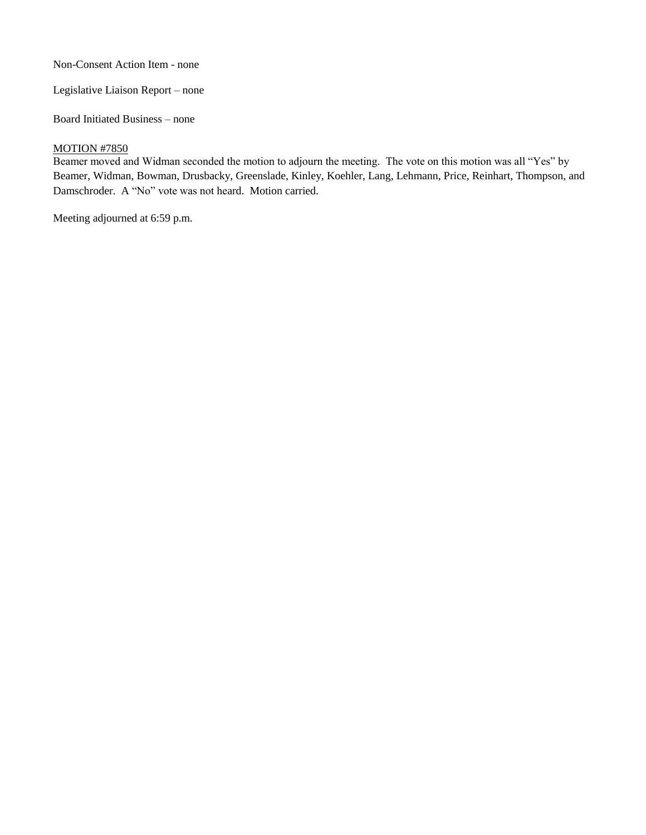Non-Consent Action Item - none

Legislative Liaison Report – none

Board Initiated Business – none

### **MOTION #7850**

Beamer moved and Widman seconded the motion to adjourn the meeting. The vote on this motion was all "Yes" by Beamer, Widman, Bowman, Drusbacky, Greenslade, Kinley, Koehler, Lang, Lehmann, Price, Reinhart, Thompson, and Damschroder. A "No" vote was not heard. Motion carried.

Meeting adjourned at 6:59 p.m.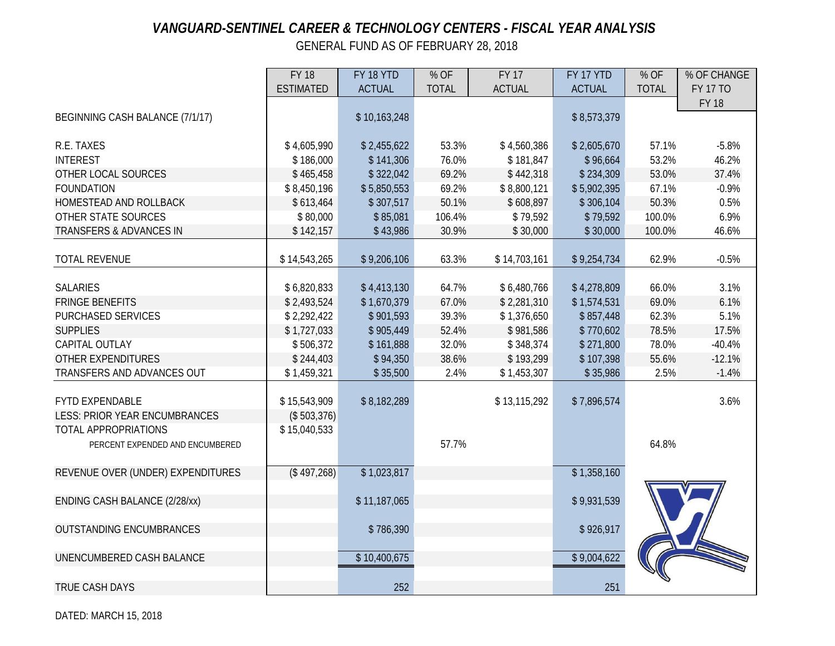# *VANGUARD-SENTINEL CAREER & TECHNOLOGY CENTERS - FISCAL YEAR ANALYSIS*

GENERAL FUND AS OF FEBRUARY 28, 2018

|                                      | <b>FY 18</b>                | FY 18 YTD     | % OF         | <b>FY 17</b>  | FY 17 YTD     | % OF         | % OF CHANGE     |
|--------------------------------------|-----------------------------|---------------|--------------|---------------|---------------|--------------|-----------------|
|                                      | <b>ESTIMATED</b>            | <b>ACTUAL</b> | <b>TOTAL</b> | <b>ACTUAL</b> | <b>ACTUAL</b> | <b>TOTAL</b> | <b>FY 17 TO</b> |
|                                      |                             |               |              |               |               |              | <b>FY 18</b>    |
| BEGINNING CASH BALANCE (7/1/17)      |                             | \$10,163,248  |              |               | \$8,573,379   |              |                 |
|                                      |                             |               |              |               |               |              |                 |
| R.E. TAXES                           | \$4,605,990                 | \$2,455,622   | 53.3%        | \$4,560,386   | \$2,605,670   | 57.1%        | $-5.8%$         |
| <b>INTEREST</b>                      | \$186,000                   | \$141,306     | 76.0%        | \$181,847     | \$96,664      | 53.2%        | 46.2%           |
| OTHER LOCAL SOURCES                  | \$465,458                   | \$322,042     | 69.2%        | \$442,318     | \$234,309     | 53.0%        | 37.4%           |
| <b>FOUNDATION</b>                    | \$8,450,196                 | \$5,850,553   | 69.2%        | \$8,800,121   | \$5,902,395   | 67.1%        | $-0.9%$         |
| HOMESTEAD AND ROLLBACK               | \$613,464                   | \$307,517     | 50.1%        | \$608,897     | \$306,104     | 50.3%        | 0.5%            |
| OTHER STATE SOURCES                  | \$80,000                    | \$85,081      | 106.4%       | \$79,592      | \$79,592      | 100.0%       | 6.9%            |
| <b>TRANSFERS &amp; ADVANCES IN</b>   | \$142,157                   | \$43,986      | 30.9%        | \$30,000      | \$30,000      | 100.0%       | 46.6%           |
|                                      |                             |               |              |               |               |              |                 |
| <b>TOTAL REVENUE</b>                 | \$14,543,265                | \$9,206,106   | 63.3%        | \$14,703,161  | \$9,254,734   | 62.9%        | $-0.5%$         |
|                                      |                             |               |              |               |               |              |                 |
| <b>SALARIES</b>                      | \$6,820,833                 | \$4,413,130   | 64.7%        | \$6,480,766   | \$4,278,809   | 66.0%        | 3.1%            |
| <b>FRINGE BENEFITS</b>               | \$2,493,524                 | \$1,670,379   | 67.0%        | \$2,281,310   | \$1,574,531   | 69.0%        | 6.1%            |
| <b>PURCHASED SERVICES</b>            | \$2,292,422                 | \$901,593     | 39.3%        | \$1,376,650   | \$857,448     | 62.3%        | 5.1%            |
| <b>SUPPLIES</b>                      | \$1,727,033                 | \$905,449     | 52.4%        | \$981,586     | \$770,602     | 78.5%        | 17.5%           |
| CAPITAL OUTLAY                       | \$506,372                   | \$161,888     | 32.0%        | \$348,374     | \$271,800     | 78.0%        | $-40.4%$        |
| <b>OTHER EXPENDITURES</b>            | \$244,403                   | \$94,350      | 38.6%        | \$193,299     | \$107,398     | 55.6%        | $-12.1%$        |
| TRANSFERS AND ADVANCES OUT           | \$1,459,321                 | \$35,500      | 2.4%         | \$1,453,307   | \$35,986      | 2.5%         | $-1.4%$         |
| <b>FYTD EXPENDABLE</b>               |                             |               |              |               |               |              |                 |
| <b>LESS: PRIOR YEAR ENCUMBRANCES</b> | \$15,543,909<br>(\$503,376) | \$8,182,289   |              | \$13,115,292  | \$7,896,574   |              | 3.6%            |
| TOTAL APPROPRIATIONS                 |                             |               |              |               |               |              |                 |
|                                      | \$15,040,533                |               | 57.7%        |               |               | 64.8%        |                 |
| PERCENT EXPENDED AND ENCUMBERED      |                             |               |              |               |               |              |                 |
| REVENUE OVER (UNDER) EXPENDITURES    | (\$497,268)                 | \$1,023,817   |              |               | \$1,358,160   |              |                 |
|                                      |                             |               |              |               |               |              |                 |
| ENDING CASH BALANCE (2/28/xx)        |                             | \$11,187,065  |              |               | \$9,931,539   |              |                 |
|                                      |                             |               |              |               |               |              |                 |
| <b>OUTSTANDING ENCUMBRANCES</b>      |                             | \$786,390     |              |               | \$926,917     |              |                 |
|                                      |                             |               |              |               |               |              |                 |
| UNENCUMBERED CASH BALANCE            |                             | \$10,400,675  |              |               | \$9,004,622   |              |                 |
|                                      |                             |               |              |               |               |              |                 |
| <b>TRUE CASH DAYS</b>                |                             | 252           |              |               | 251           |              |                 |
|                                      |                             |               |              |               |               |              |                 |

DATED: MARCH 15, 2018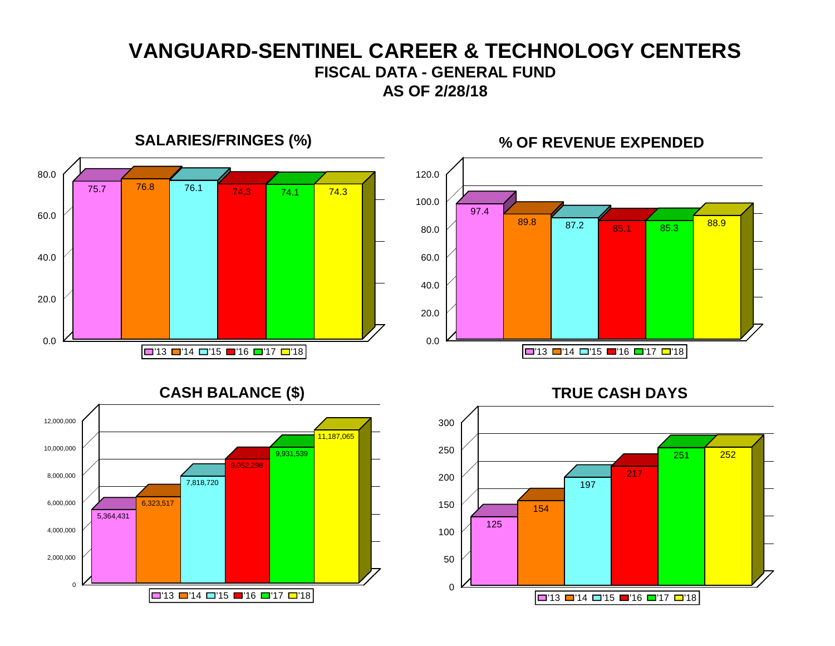# **VANGUARD-SENTINEL CAREER & TECHNOLOGY CENTERS FISCAL DATA - GENERAL FUND AS OF 2/28/18**

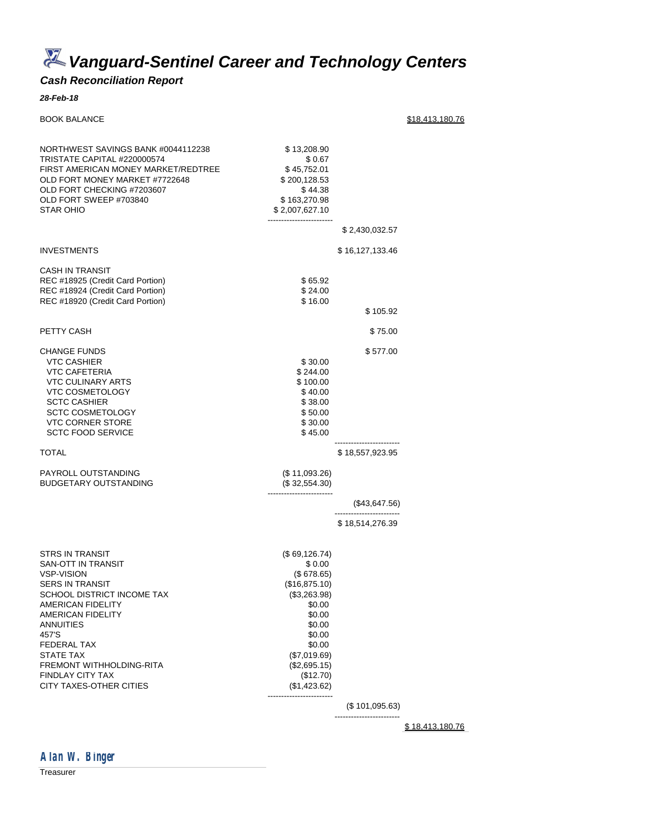*Vanguard-Sentinel Career and Technology Centers*

#### *Cash Reconciliation Report*

#### *28-Feb-18*

BOOK BALANCE \$18,413,180.76 NORTHWEST SAVINGS BANK #0044112238 \$ 13,208.90 TRISTATE CAPITAL #220000574 \$ 0.67 FIRST AMERICAN MONEY MARKET/REDTREE \$45,752.01 OLD FORT MONEY MARKET #7722648 \$ 200,128.53<br>OLD FORT CHECKING #7203607 \$ 44.38 OLD FORT CHECKING #7203607 OLD FORT SWEEP #703840 \$ 163,270.98<br>STAR OHIO \$ 2.007.627.10 \$ 2,007,627.10 ------------------------ \$ 2,430,032.57 INVESTMENTS \$ 16,127,133.46 CASH IN TRANSIT REC #18925 (Credit Card Portion) \$ 65.92 REC #18924 (Credit Card Portion) \$ 24.00<br>REC #18920 (Credit Card Portion) \$ 16.00 REC #18920 (Credit Card Portion) \$ 105.92 PETTY CASH \$75.00 CHANGE FUNDS \$ 577.00 VTC CASHIER \$ 30.00 VTC CAFETERIA \$ 244.00 **VTC CULINARY ARTS** VTC COSMETOLOGY \$40.00 SCTC CASHIER \$ 38.00<br>SCTC COSMETOLOGY \$ 50.00 SCTC COSMETOLOGY VTC CORNER STORE \$30.00 SCTC FOOD SERVICE \$45.00 ------------------------ TOTAL \$18,557,923.95 PAYROLL OUTSTANDING (\$11,093.26) BUDGETARY OUTSTANDING (\$ 32,554.30) ------------------------ (\$43,647.56) ------------------------ \$ 18,514,276.39 STRS IN TRANSIT (\$69,126.74) SAN-OTT IN TRANSIT \$ 0.00 VSP-VISION (\$ 678.65)<br>SERS IN TRANSIT (\$16,875.10) **SERS IN TRANSIT** SCHOOL DISTRICT INCOME TAX (\$3,263.98) AMERICAN FIDELITY \$0.00 AMERICAN FIDELITY \$0.00 ANNUITIES \$0.00  $457'$ S  $30.00$ FEDERAL TAX \$0.00<br>\$1,000 \$1,000 \$1,000 \$1,000 \$1,000 \$1,000 \$1,000 \$1,000 \$1,000 \$1,000 \$1,000 \$1,000 \$1,000 \$1,000 \$1,000 \$1,00  $($7,019.69)$ FREMONT WITHHOLDING-RITA (\$2,695.15) FINDLAY CITY TAX<br>CITY TAXES-OTHER CITIES (\$1,423.62) CITY TAXES-OTHER CITIES ------------------------ (\$ 101,095.63)

------------------------

\$ 18,413,180.76



Treasurer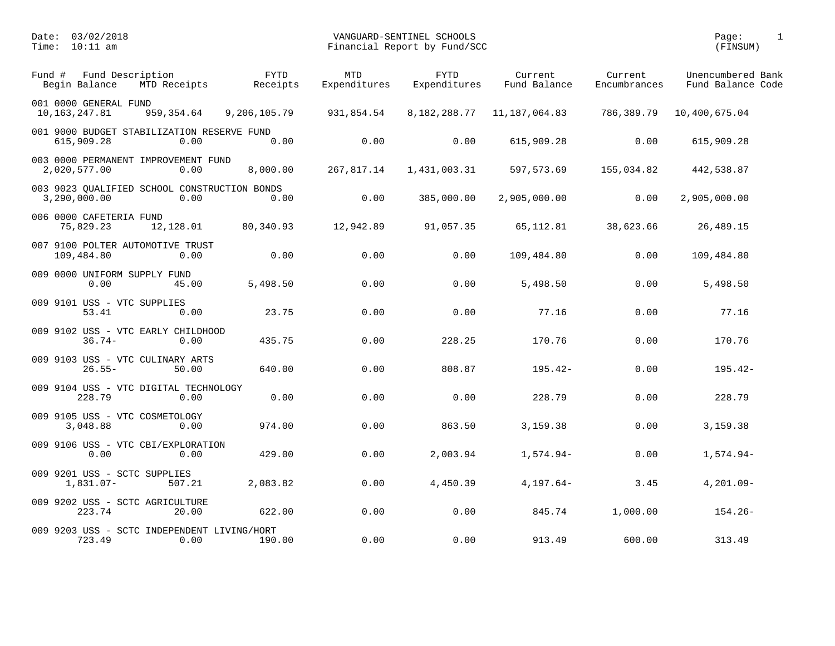| Fund # | Fund Description<br>Begin Balance           | MTD Receipts                                         | <b>FYTD</b><br>Receipts | MTD<br>Expenditures | <b>FYTD</b><br>Expenditures | Current<br>Fund Balance | Current<br>Encumbrances | Unencumbered Bank<br>Fund Balance Code |
|--------|---------------------------------------------|------------------------------------------------------|-------------------------|---------------------|-----------------------------|-------------------------|-------------------------|----------------------------------------|
|        | 001 0000 GENERAL FUND<br>10, 163, 247.81    | 959, 354.64                                          | 9,206,105.79            | 931,854.54          | 8,182,288.77                | 11, 187, 064.83         | 786,389.79              | 10,400,675.04                          |
|        | 615,909.28                                  | 001 9000 BUDGET STABILIZATION RESERVE FUND<br>0.00   | 0.00                    | 0.00                | 0.00                        | 615,909.28              | 0.00                    | 615,909.28                             |
|        | 2,020,577.00                                | 003 0000 PERMANENT IMPROVEMENT FUND<br>0.00          | 8,000.00                | 267,817.14          | 1,431,003.31                | 597,573.69              | 155,034.82              | 442,538.87                             |
|        | 3,290,000.00                                | 003 9023 OUALIFIED SCHOOL CONSTRUCTION BONDS<br>0.00 | 0.00                    | 0.00                | 385,000.00                  | 2,905,000.00            | 0.00                    | 2,905,000.00                           |
|        | 006 0000 CAFETERIA FUND<br>75,829.23        | 12,128.01                                            | 80,340.93               | 12,942.89           | 91,057.35                   | 65, 112.81              | 38,623.66               | 26,489.15                              |
|        | 109,484.80                                  | 007 9100 POLTER AUTOMOTIVE TRUST<br>0.00             | 0.00                    | 0.00                | 0.00                        | 109,484.80              | 0.00                    | 109,484.80                             |
|        | 009 0000 UNIFORM SUPPLY FUND<br>0.00        | 45.00                                                | 5,498.50                | 0.00                | 0.00                        | 5,498.50                | 0.00                    | 5,498.50                               |
|        | 009 9101 USS - VTC SUPPLIES<br>53.41        | 0.00                                                 | 23.75                   | 0.00                | 0.00                        | 77.16                   | 0.00                    | 77.16                                  |
|        | $36.74-$                                    | 009 9102 USS - VTC EARLY CHILDHOOD<br>0.00           | 435.75                  | 0.00                | 228.25                      | 170.76                  | 0.00                    | 170.76                                 |
|        | $26.55 -$                                   | 009 9103 USS - VTC CULINARY ARTS<br>50.00            | 640.00                  | 0.00                | 808.87                      | $195.42-$               | 0.00                    | $195.42-$                              |
|        | 228.79                                      | 009 9104 USS - VTC DIGITAL TECHNOLOGY<br>0.00        | 0.00                    | 0.00                | 0.00                        | 228.79                  | 0.00                    | 228.79                                 |
|        | 009 9105 USS - VTC COSMETOLOGY<br>3,048.88  | 0.00                                                 | 974.00                  | 0.00                | 863.50                      | 3,159.38                | 0.00                    | 3,159.38                               |
|        | 0.00                                        | 009 9106 USS - VTC CBI/EXPLORATION<br>0.00           | 429.00                  | 0.00                | 2,003.94                    | $1,574.94-$             | 0.00                    | $1,574.94-$                            |
|        | 009 9201 USS - SCTC SUPPLIES<br>$1,831.07-$ | 507.21                                               | 2,083.82                | 0.00                | 4,450.39                    | $4,197.64-$             | 3.45                    | $4,201.09-$                            |
|        | 223.74                                      | 009 9202 USS - SCTC AGRICULTURE<br>20.00             | 622.00                  | 0.00                | 0.00                        | 845.74                  | 1,000.00                | $154.26 -$                             |
|        | 723.49                                      | 009 9203 USS - SCTC INDEPENDENT LIVING/HORT<br>0.00  | 190.00                  | 0.00                | 0.00                        | 913.49                  | 600.00                  | 313.49                                 |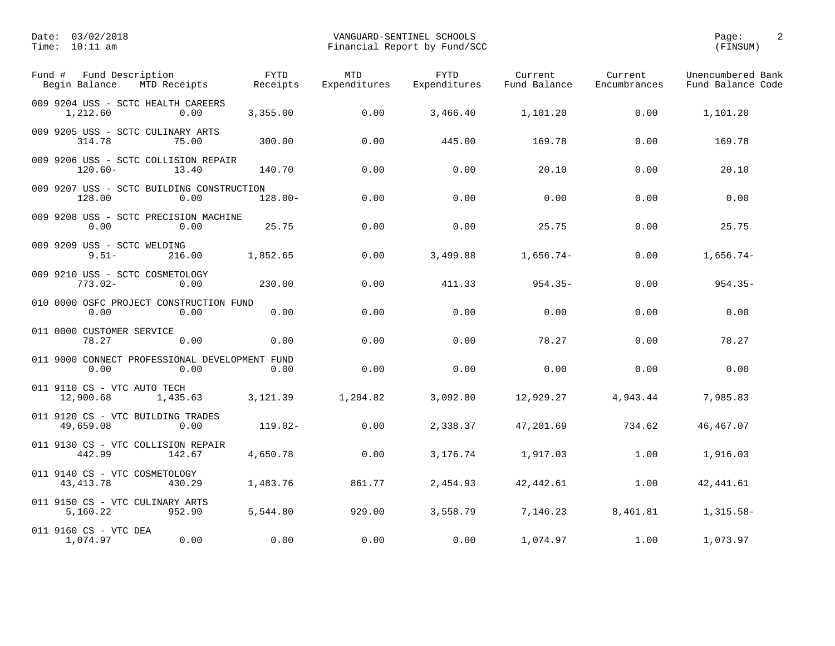| Fund Description<br>Fund #<br>Begin Balance            | MTD Receipts | <b>FYTD</b><br>Receipts | <b>MTD</b><br>Expenditures | <b>FYTD</b><br>Expenditures | Current<br>Fund Balance | Current<br>Encumbrances | Unencumbered Bank<br>Fund Balance Code |
|--------------------------------------------------------|--------------|-------------------------|----------------------------|-----------------------------|-------------------------|-------------------------|----------------------------------------|
| 009 9204 USS - SCTC HEALTH CAREERS<br>1,212.60         | 0.00         | 3,355.00                | 0.00                       | 3,466.40                    | 1,101.20                | 0.00                    | 1,101.20                               |
| 009 9205 USS - SCTC CULINARY ARTS<br>314.78            | 75.00        | 300.00                  | 0.00                       | 445.00                      | 169.78                  | 0.00                    | 169.78                                 |
| 009 9206 USS - SCTC COLLISION REPAIR<br>$120.60 -$     | 13.40        | 140.70                  | 0.00                       | 0.00                        | 20.10                   | 0.00                    | 20.10                                  |
| 009 9207 USS - SCTC BUILDING CONSTRUCTION<br>128.00    | 0.00         | $128.00 -$              | 0.00                       | 0.00                        | 0.00                    | 0.00                    | 0.00                                   |
| 009 9208 USS - SCTC PRECISION MACHINE<br>0.00          | 0.00         | 25.75                   | 0.00                       | 0.00                        | 25.75                   | 0.00                    | 25.75                                  |
| 009 9209 USS - SCTC WELDING<br>$9.51 -$                | 216.00       | 1,852.65                | 0.00                       | 3,499.88                    | $1,656.74-$             | 0.00                    | $1,656.74-$                            |
| 009 9210 USS - SCTC COSMETOLOGY<br>$773.02 -$          | 0.00         | 230.00                  | 0.00                       | 411.33                      | $954.35 -$              | 0.00                    | $954.35 -$                             |
| 010 0000 OSFC PROJECT CONSTRUCTION FUND<br>0.00        | 0.00         | 0.00                    | 0.00                       | 0.00                        | 0.00                    | 0.00                    | 0.00                                   |
| 011 0000 CUSTOMER SERVICE<br>78.27                     | 0.00         | 0.00                    | 0.00                       | 0.00                        | 78.27                   | 0.00                    | 78.27                                  |
| 011 9000 CONNECT PROFESSIONAL DEVELOPMENT FUND<br>0.00 | 0.00         | 0.00                    | 0.00                       | 0.00                        | 0.00                    | 0.00                    | 0.00                                   |
| 011 9110 CS - VTC AUTO TECH<br>12,900.68               | 1,435.63     | 3,121.39                | 1,204.82                   | 3,092.80                    | 12,929.27               | 4,943.44                | 7,985.83                               |
| 011 9120 CS - VTC BUILDING TRADES<br>49,659.08         | 0.00         | $119.02 -$              | 0.00                       | 2,338.37                    | 47,201.69               | 734.62                  | 46, 467.07                             |
| 011 9130 CS - VTC COLLISION REPAIR<br>442.99           | 142.67       | 4,650.78                | 0.00                       | 3,176.74                    | 1,917.03                | 1.00                    | 1,916.03                               |
| 011 9140 CS - VTC COSMETOLOGY<br>43, 413. 78           | 430.29       | 1,483.76                | 861.77                     | 2,454.93                    | 42, 442.61              | 1.00                    | 42, 441.61                             |
| 011 9150 CS - VTC CULINARY ARTS<br>5,160.22            | 952.90       | 5,544.80                | 929.00                     | 3,558.79                    | 7,146.23                | 8,461.81                | $1,315.58-$                            |
| 011 9160 CS - VTC DEA<br>1,074.97                      | 0.00         | 0.00                    | 0.00                       | 0.00                        | 1,074.97                | 1.00                    | 1,073.97                               |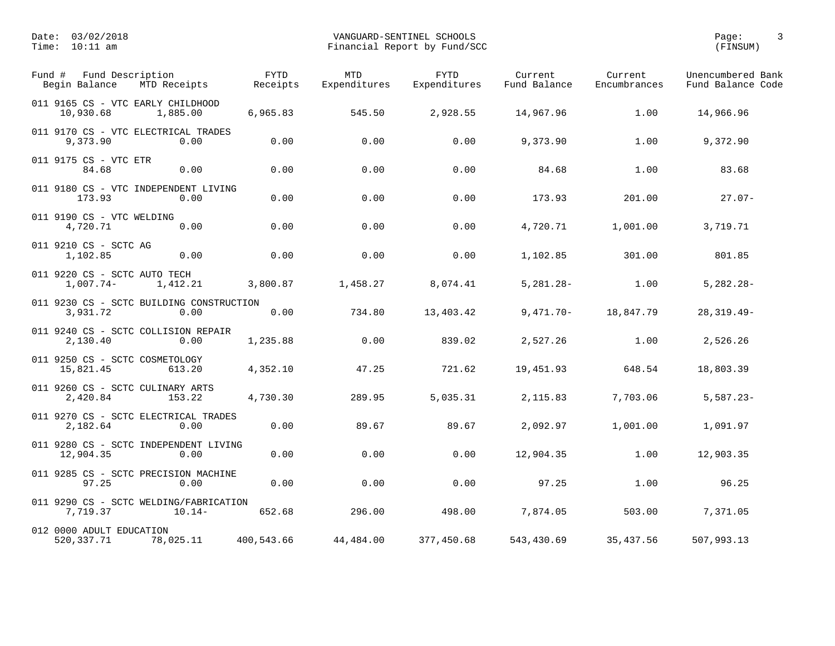| Fund Description<br>Fund #<br>Begin Balance<br>MTD Receipts    | <b>FYTD</b><br>Receipts | <b>MTD</b><br>Expenditures | <b>FYTD</b><br>Expenditures | Current<br>Fund Balance | Current<br>Encumbrances | Unencumbered Bank<br>Fund Balance Code |
|----------------------------------------------------------------|-------------------------|----------------------------|-----------------------------|-------------------------|-------------------------|----------------------------------------|
| 011 9165 CS - VTC EARLY CHILDHOOD<br>10,930.68<br>1,885.00     | 6,965.83                | 545.50                     | 2,928.55                    | 14,967.96               | 1.00                    | 14,966.96                              |
| 011 9170 CS - VTC ELECTRICAL TRADES<br>9,373.90<br>0.00        | 0.00                    | 0.00                       | 0.00                        | 9,373.90                | 1.00                    | 9,372.90                               |
| 011 9175 CS - VTC ETR<br>0.00<br>84.68                         | 0.00                    | 0.00                       | 0.00                        | 84.68                   | 1.00                    | 83.68                                  |
| 011 9180 CS - VTC INDEPENDENT LIVING<br>173.93<br>0.00         | 0.00                    | 0.00                       | 0.00                        | 173.93                  | 201.00                  | $27.07 -$                              |
| 011 9190 CS - VTC WELDING<br>4,720.71<br>0.00                  | 0.00                    | 0.00                       | 0.00                        | 4,720.71                | 1,001.00                | 3,719.71                               |
| 011 9210 CS - SCTC AG<br>0.00<br>1,102.85                      | 0.00                    | 0.00                       | 0.00                        | 1,102.85                | 301.00                  | 801.85                                 |
| 011 9220 CS - SCTC AUTO TECH<br>$1,007.74-$<br>1,412.21        | 3,800.87                | 1,458.27                   | 8,074.41                    | $5,281.28 -$            | 1.00                    | $5,282.28 -$                           |
| 011 9230 CS - SCTC BUILDING CONSTRUCTION<br>3,931.72<br>0.00   | 0.00                    | 734.80                     | 13,403.42                   | 9,471.70-               | 18,847.79               | $28, 319.49 -$                         |
| 011 9240 CS - SCTC COLLISION REPAIR<br>2,130.40<br>0.00        | 1,235.88                | 0.00                       | 839.02                      | 2,527.26                | 1.00                    | 2,526.26                               |
| 011 9250 CS - SCTC COSMETOLOGY<br>613.20<br>15,821.45          | 4,352.10                | 47.25                      | 721.62                      | 19,451.93               | 648.54                  | 18,803.39                              |
| 011 9260 CS - SCTC CULINARY ARTS<br>2,420.84<br>153.22         | 4,730.30                | 289.95                     | 5,035.31                    | 2,115.83                | 7,703.06                | $5,587.23-$                            |
| 011 9270 CS - SCTC ELECTRICAL TRADES<br>2,182.64<br>0.00       | 0.00                    | 89.67                      | 89.67                       | 2,092.97                | 1,001.00                | 1,091.97                               |
| 011 9280 CS - SCTC INDEPENDENT LIVING<br>12,904.35<br>0.00     | 0.00                    | 0.00                       | 0.00                        | 12,904.35               | 1.00                    | 12,903.35                              |
| 011 9285 CS - SCTC PRECISION MACHINE<br>97.25<br>0.00          | 0.00                    | 0.00                       | 0.00                        | 97.25                   | 1.00                    | 96.25                                  |
| 011 9290 CS - SCTC WELDING/FABRICATION<br>7,719.37<br>$10.14-$ | 652.68                  | 296.00                     | 498.00                      | 7,874.05                | 503.00                  | 7,371.05                               |
| 012 0000 ADULT EDUCATION<br>520, 337. 71<br>78,025.11          | 400,543.66              | 44,484.00                  | 377,450.68                  | 543,430.69              | 35,437.56               | 507,993.13                             |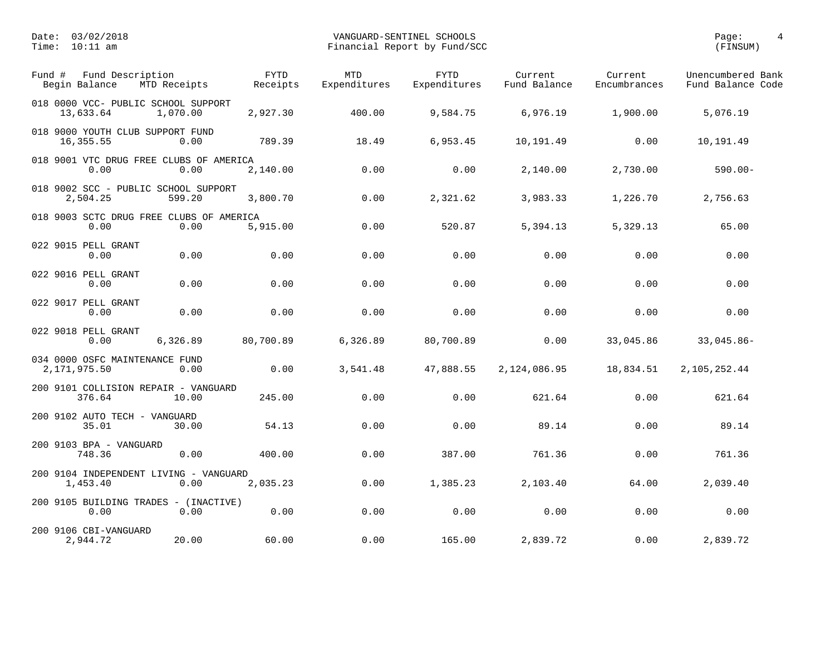| Fund Description<br>Fund #<br>Begin Balance<br>MTD Receipts  | <b>FYTD</b><br>Receipts | <b>MTD</b><br>Expenditures | <b>FYTD</b><br>Expenditures | Current<br>Fund Balance | Current<br>Encumbrances | Unencumbered Bank<br>Fund Balance Code |
|--------------------------------------------------------------|-------------------------|----------------------------|-----------------------------|-------------------------|-------------------------|----------------------------------------|
| 018 0000 VCC- PUBLIC SCHOOL SUPPORT<br>13,633.64<br>1,070.00 | 2,927.30                | 400.00                     | 9,584.75                    | 6,976.19                | 1,900.00                | 5,076.19                               |
| 018 9000 YOUTH CLUB SUPPORT FUND<br>16,355.55<br>0.00        | 789.39                  | 18.49                      | 6,953.45                    | 10,191.49               | 0.00                    | 10,191.49                              |
| 018 9001 VTC DRUG FREE CLUBS OF AMERICA<br>0.00<br>0.00      | 2,140.00                | 0.00                       | 0.00                        | 2,140.00                | 2,730.00                | $590.00 -$                             |
| 018 9002 SCC - PUBLIC SCHOOL SUPPORT<br>2,504.25<br>599.20   | 3,800.70                | 0.00                       | 2,321.62                    | 3,983.33                | 1,226.70                | 2,756.63                               |
| 018 9003 SCTC DRUG FREE CLUBS OF AMERICA<br>0.00<br>0.00     | 5,915.00                | 0.00                       | 520.87                      | 5,394.13                | 5,329.13                | 65.00                                  |
| 022 9015 PELL GRANT<br>0.00<br>0.00                          | 0.00                    | 0.00                       | 0.00                        | 0.00                    | 0.00                    | 0.00                                   |
| 022 9016 PELL GRANT<br>0.00<br>0.00                          | 0.00                    | 0.00                       | 0.00                        | 0.00                    | 0.00                    | 0.00                                   |
| 022 9017 PELL GRANT<br>0.00<br>0.00                          | 0.00                    | 0.00                       | 0.00                        | 0.00                    | 0.00                    | 0.00                                   |
| 022 9018 PELL GRANT<br>0.00<br>6,326.89                      | 80,700.89               | 6,326.89                   | 80,700.89                   | 0.00                    | 33,045.86               | $33,045.86 -$                          |
| 034 0000 OSFC MAINTENANCE FUND<br>2,171,975.50<br>0.00       | 0.00                    | 3,541.48                   | 47,888.55                   | 2,124,086.95            | 18,834.51               | 2,105,252.44                           |
| 200 9101 COLLISION REPAIR - VANGUARD<br>376.64<br>10.00      | 245.00                  | 0.00                       | 0.00                        | 621.64                  | 0.00                    | 621.64                                 |
| 200 9102 AUTO TECH - VANGUARD<br>35.01<br>30.00              | 54.13                   | 0.00                       | 0.00                        | 89.14                   | 0.00                    | 89.14                                  |
| 200 9103 BPA - VANGUARD<br>748.36<br>0.00                    | 400.00                  | 0.00                       | 387.00                      | 761.36                  | 0.00                    | 761.36                                 |
| 200 9104 INDEPENDENT LIVING - VANGUARD<br>1,453.40<br>0.00   | 2,035.23                | 0.00                       | 1,385.23                    | 2,103.40                | 64.00                   | 2,039.40                               |
| 200 9105 BUILDING TRADES - (INACTIVE)<br>0.00<br>0.00        | 0.00                    | 0.00                       | 0.00                        | 0.00                    | 0.00                    | 0.00                                   |
| 200 9106 CBI-VANGUARD<br>2,944.72<br>20.00                   | 60.00                   | 0.00                       | 165.00                      | 2,839.72                | 0.00                    | 2,839.72                               |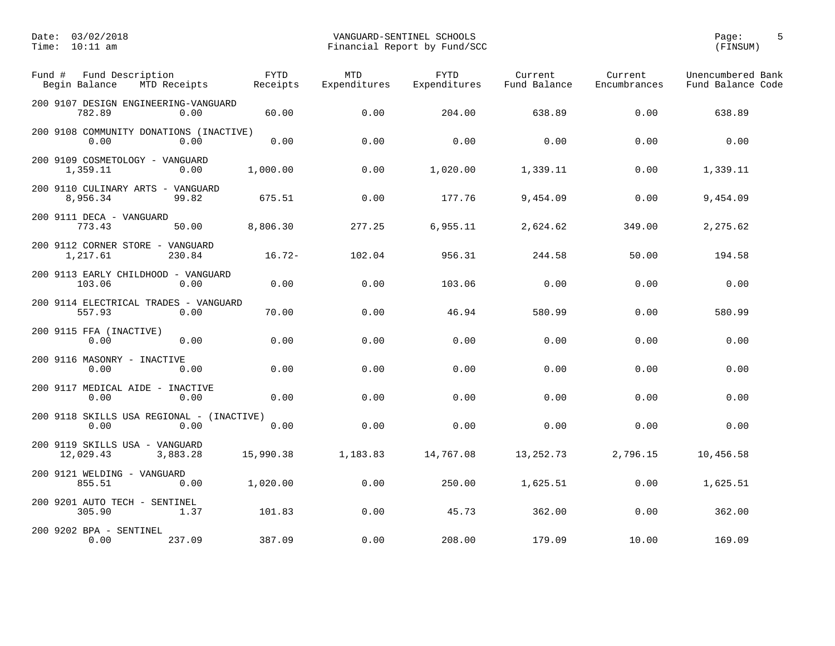| Fund #<br>Fund Description<br>Begin Balance       | MTD Receipts | <b>FYTD</b><br>Receipts | <b>MTD</b><br>Expenditures | <b>FYTD</b><br>Expenditures | Current<br>Fund Balance | Current<br>Encumbrances | Unencumbered Bank<br>Fund Balance Code |
|---------------------------------------------------|--------------|-------------------------|----------------------------|-----------------------------|-------------------------|-------------------------|----------------------------------------|
| 200 9107 DESIGN ENGINEERING-VANGUARD<br>782.89    | 0.00         | 60.00                   | 0.00                       | 204.00                      | 638.89                  | 0.00                    | 638.89                                 |
| 200 9108 COMMUNITY DONATIONS (INACTIVE)<br>0.00   | 0.00         | 0.00                    | 0.00                       | 0.00                        | 0.00                    | 0.00                    | 0.00                                   |
| 200 9109 COSMETOLOGY - VANGUARD<br>1,359.11       | 0.00         | 1,000.00                | 0.00                       | 1,020.00                    | 1,339.11                | 0.00                    | 1,339.11                               |
| 200 9110 CULINARY ARTS - VANGUARD<br>8,956.34     | 99.82        | 675.51                  | 0.00                       | 177.76                      | 9,454.09                | 0.00                    | 9,454.09                               |
| 200 9111 DECA - VANGUARD<br>773.43                | 50.00        | 8,806.30                | 277.25                     | 6,955.11                    | 2,624.62                | 349.00                  | 2,275.62                               |
| 200 9112 CORNER STORE - VANGUARD<br>1,217.61      | 230.84       | $16.72-$                | 102.04                     | 956.31                      | 244.58                  | 50.00                   | 194.58                                 |
| 200 9113 EARLY CHILDHOOD - VANGUARD<br>103.06     | 0.00         | 0.00                    | 0.00                       | 103.06                      | 0.00                    | 0.00                    | 0.00                                   |
| 200 9114 ELECTRICAL TRADES - VANGUARD<br>557.93   | 0.00         | 70.00                   | 0.00                       | 46.94                       | 580.99                  | 0.00                    | 580.99                                 |
| 200 9115 FFA (INACTIVE)<br>0.00                   | 0.00         | 0.00                    | 0.00                       | 0.00                        | 0.00                    | 0.00                    | 0.00                                   |
| 200 9116 MASONRY - INACTIVE<br>0.00               | 0.00         | 0.00                    | 0.00                       | 0.00                        | 0.00                    | 0.00                    | 0.00                                   |
| 200 9117 MEDICAL AIDE - INACTIVE<br>0.00          | 0.00         | 0.00                    | 0.00                       | 0.00                        | 0.00                    | 0.00                    | 0.00                                   |
| 200 9118 SKILLS USA REGIONAL - (INACTIVE)<br>0.00 | 0.00         | 0.00                    | 0.00                       | 0.00                        | 0.00                    | 0.00                    | 0.00                                   |
| 200 9119 SKILLS USA - VANGUARD<br>12,029.43       | 3,883.28     | 15,990.38               | 1,183.83                   | 14,767.08                   | 13, 252. 73             | 2,796.15                | 10,456.58                              |
| 200 9121 WELDING - VANGUARD<br>855.51             | 0.00         | 1,020.00                | 0.00                       | 250.00                      | 1,625.51                | 0.00                    | 1,625.51                               |
| 200 9201 AUTO TECH - SENTINEL<br>305.90           | 1.37         | 101.83                  | 0.00                       | 45.73                       | 362.00                  | 0.00                    | 362.00                                 |
| 200 9202 BPA - SENTINEL<br>0.00                   | 237.09       | 387.09                  | 0.00                       | 208.00                      | 179.09                  | 10.00                   | 169.09                                 |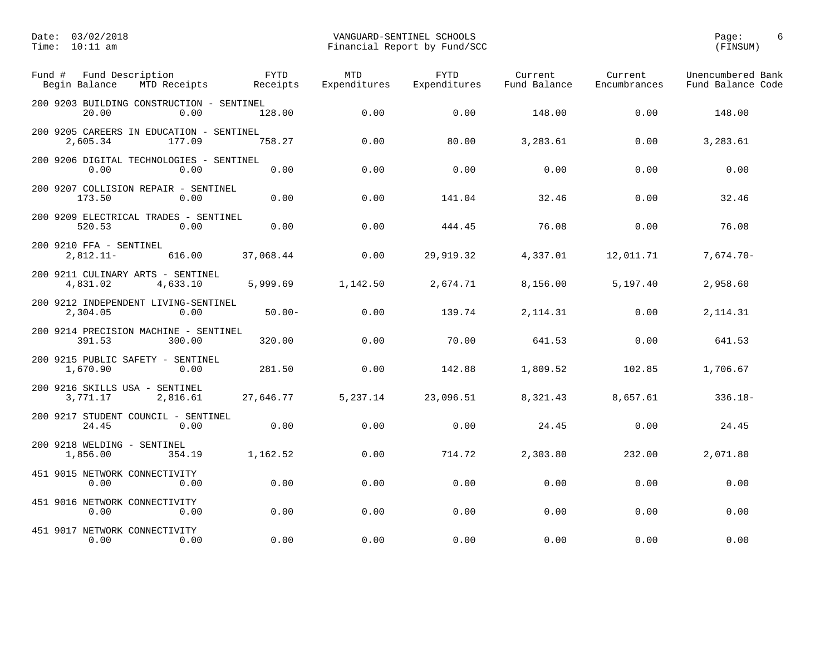| Fund Description<br>Fund #<br>Begin Balance<br>MTD Receipts    | <b>FYTD</b><br>Receipts | <b>MTD</b><br>Expenditures | <b>FYTD</b><br>Expenditures | Current<br>Fund Balance | Current<br>Encumbrances | Unencumbered Bank<br>Fund Balance Code |
|----------------------------------------------------------------|-------------------------|----------------------------|-----------------------------|-------------------------|-------------------------|----------------------------------------|
| 200 9203 BUILDING CONSTRUCTION - SENTINEL<br>20.00<br>0.00     | 128.00                  | 0.00                       | 0.00                        | 148.00                  | 0.00                    | 148.00                                 |
| 200 9205 CAREERS IN EDUCATION - SENTINEL<br>2,605.34<br>177.09 | 758.27                  | 0.00                       | 80.00                       | 3,283.61                | 0.00                    | 3,283.61                               |
| 200 9206 DIGITAL TECHNOLOGIES - SENTINEL<br>0.00<br>0.00       | 0.00                    | 0.00                       | 0.00                        | 0.00                    | 0.00                    | 0.00                                   |
| 200 9207 COLLISION REPAIR - SENTINEL<br>173.50<br>0.00         | 0.00                    | 0.00                       | 141.04                      | 32.46                   | 0.00                    | 32.46                                  |
| 200 9209 ELECTRICAL TRADES - SENTINEL<br>520.53<br>0.00        | 0.00                    | 0.00                       | 444.45                      | 76.08                   | 0.00                    | 76.08                                  |
| 200 9210 FFA - SENTINEL<br>616.00<br>$2,812.11-$               | 37,068.44               | 0.00                       | 29,919.32                   | 4,337.01                | 12,011.71               | $7,674.70-$                            |
| 200 9211 CULINARY ARTS - SENTINEL<br>4,831.02<br>4,633.10      | 5,999.69                | 1,142.50                   | 2,674.71                    | 8,156.00                | 5,197.40                | 2,958.60                               |
| 200 9212 INDEPENDENT LIVING-SENTINEL<br>2,304.05<br>0.00       | $50.00 -$               | 0.00                       | 139.74                      | 2, 114.31               | 0.00                    | 2, 114.31                              |
| 200 9214 PRECISION MACHINE - SENTINEL<br>391.53<br>300.00      | 320.00                  | 0.00                       | 70.00                       | 641.53                  | 0.00                    | 641.53                                 |
| 200 9215 PUBLIC SAFETY - SENTINEL<br>1,670.90<br>0.00          | 281.50                  | 0.00                       | 142.88                      | 1,809.52                | 102.85                  | 1,706.67                               |
| 200 9216 SKILLS USA - SENTINEL<br>3,771.17<br>2,816.61         | 27,646.77               | 5,237.14                   | 23,096.51                   | 8,321.43                | 8,657.61                | $336.18-$                              |
| 200 9217 STUDENT COUNCIL - SENTINEL<br>24.45<br>0.00           | 0.00                    | 0.00                       | 0.00                        | 24.45                   | 0.00                    | 24.45                                  |
| 200 9218 WELDING - SENTINEL<br>1,856.00<br>354.19              | 1,162.52                | 0.00                       | 714.72                      | 2,303.80                | 232.00                  | 2,071.80                               |
| 451 9015 NETWORK CONNECTIVITY<br>0.00<br>0.00                  | 0.00                    | 0.00                       | 0.00                        | 0.00                    | 0.00                    | 0.00                                   |
| 451 9016 NETWORK CONNECTIVITY<br>0.00<br>0.00                  | 0.00                    | 0.00                       | 0.00                        | 0.00                    | 0.00                    | 0.00                                   |
| 451 9017 NETWORK CONNECTIVITY<br>0.00<br>0.00                  | 0.00                    | 0.00                       | 0.00                        | 0.00                    | 0.00                    | 0.00                                   |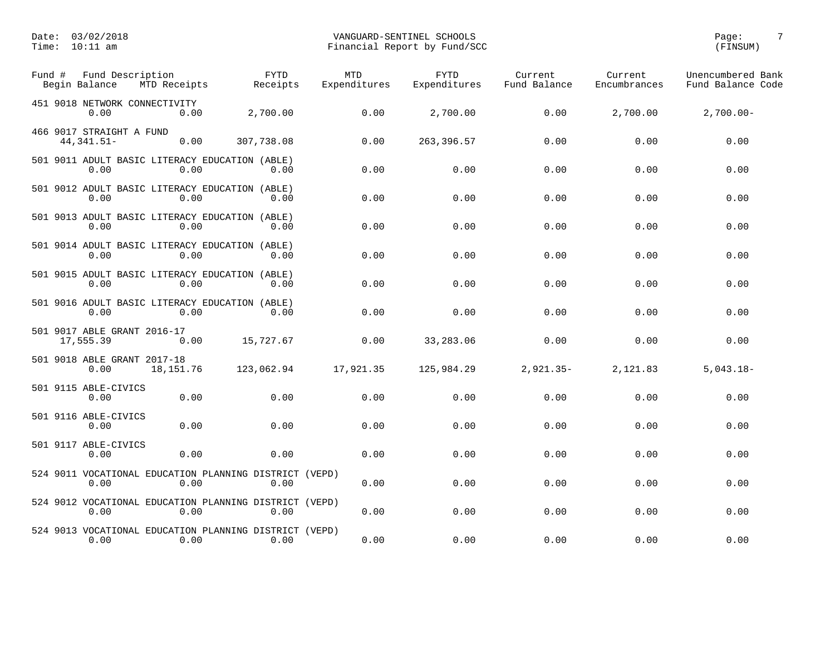| Fund # | Fund Description<br>Begin Balance<br>MTD Receipts                      | <b>FYTD</b><br>Receipts | <b>MTD</b><br>Expenditures | <b>FYTD</b><br>Expenditures | Current<br>Fund Balance | Current<br>Encumbrances | Unencumbered Bank<br>Fund Balance Code |
|--------|------------------------------------------------------------------------|-------------------------|----------------------------|-----------------------------|-------------------------|-------------------------|----------------------------------------|
|        | 451 9018 NETWORK CONNECTIVITY<br>0.00<br>0.00                          | 2,700.00                | 0.00                       | 2,700.00                    | 0.00                    | 2,700.00                | $2,700.00-$                            |
|        | 466 9017 STRAIGHT A FUND<br>44, 341.51-<br>0.00                        | 307,738.08              | 0.00                       | 263, 396.57                 | 0.00                    | 0.00                    | 0.00                                   |
|        | 501 9011 ADULT BASIC LITERACY EDUCATION (ABLE)<br>0.00<br>0.00         | 0.00                    | 0.00                       | 0.00                        | 0.00                    | 0.00                    | 0.00                                   |
|        | 501 9012 ADULT BASIC LITERACY EDUCATION (ABLE)<br>0.00<br>0.00         | 0.00                    | 0.00                       | 0.00                        | 0.00                    | 0.00                    | 0.00                                   |
|        | 501 9013 ADULT BASIC LITERACY EDUCATION (ABLE)<br>0.00<br>0.00         | 0.00                    | 0.00                       | 0.00                        | 0.00                    | 0.00                    | 0.00                                   |
|        | 501 9014 ADULT BASIC LITERACY EDUCATION (ABLE)<br>0.00<br>0.00         | 0.00                    | 0.00                       | 0.00                        | 0.00                    | 0.00                    | 0.00                                   |
|        | 501 9015 ADULT BASIC LITERACY EDUCATION (ABLE)<br>0.00<br>0.00         | 0.00                    | 0.00                       | 0.00                        | 0.00                    | 0.00                    | 0.00                                   |
|        | 501 9016 ADULT BASIC LITERACY EDUCATION (ABLE)<br>0.00<br>0.00         | 0.00                    | 0.00                       | 0.00                        | 0.00                    | 0.00                    | 0.00                                   |
|        | 501 9017 ABLE GRANT 2016-17<br>17,555.39<br>0.00                       | 15,727.67               | 0.00                       | 33,283.06                   | 0.00                    | 0.00                    | 0.00                                   |
|        | 501 9018 ABLE GRANT 2017-18<br>0.00<br>18,151.76                       | 123,062.94              | 17,921.35                  | 125,984.29                  | $2,921.35-$             | 2,121.83                | $5,043.18-$                            |
|        | 501 9115 ABLE-CIVICS<br>0.00<br>0.00                                   | 0.00                    | 0.00                       | 0.00                        | 0.00                    | 0.00                    | 0.00                                   |
|        | 501 9116 ABLE-CIVICS<br>0.00<br>0.00                                   | 0.00                    | 0.00                       | 0.00                        | 0.00                    | 0.00                    | 0.00                                   |
|        | 501 9117 ABLE-CIVICS<br>0.00<br>0.00                                   | 0.00                    | 0.00                       | 0.00                        | 0.00                    | 0.00                    | 0.00                                   |
|        | 524 9011 VOCATIONAL EDUCATION PLANNING DISTRICT (VEPD)<br>0.00<br>0.00 | 0.00                    | 0.00                       | 0.00                        | 0.00                    | 0.00                    | 0.00                                   |
|        | 524 9012 VOCATIONAL EDUCATION PLANNING DISTRICT (VEPD)<br>0.00<br>0.00 | 0.00                    | 0.00                       | 0.00                        | 0.00                    | 0.00                    | 0.00                                   |
|        | 524 9013 VOCATIONAL EDUCATION PLANNING DISTRICT (VEPD)<br>0.00<br>0.00 | 0.00                    | 0.00                       | 0.00                        | 0.00                    | 0.00                    | 0.00                                   |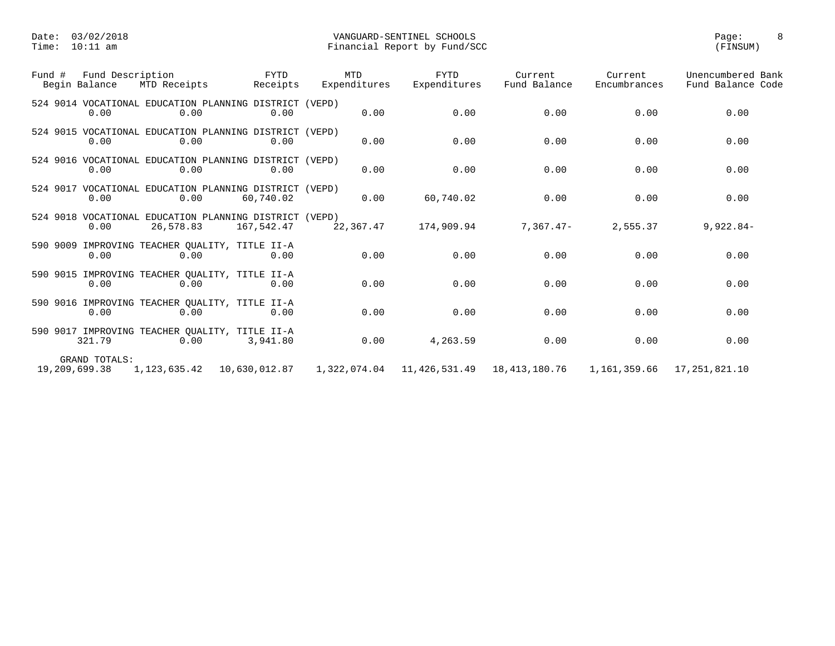| Fund # | Fund Description               |           | FYTD<br>Begin Balance MTD Receipts Beceipts                          | MTD<br>Expenditures | FYTD<br>Expenditures | Current<br>Fund Balance                                                       | Current<br>Encumbrances | Unencumbered Bank<br>Fund Balance Code |
|--------|--------------------------------|-----------|----------------------------------------------------------------------|---------------------|----------------------|-------------------------------------------------------------------------------|-------------------------|----------------------------------------|
|        | 0.00                           | 0.00      | 524 9014 VOCATIONAL EDUCATION PLANNING DISTRICT (VEPD)<br>0.00       | 0.00                | 0.00                 | 0.00                                                                          | 0.00                    | 0.00                                   |
|        | 0.00                           | 0.00      | 524 9015 VOCATIONAL EDUCATION PLANNING DISTRICT (VEPD)<br>0.00       | 0.00                | 0.00                 | 0.00                                                                          | 0.00                    | 0.00                                   |
|        | 0.00                           | 0.00      | 524 9016 VOCATIONAL EDUCATION PLANNING DISTRICT (VEPD)<br>0.00       | 0.00                | 0.00                 | 0.00                                                                          | 0.00                    | 0.00                                   |
|        | 0.00                           | 0.00      | 524 9017 VOCATIONAL EDUCATION PLANNING DISTRICT (VEPD)<br>60,740.02  | 0.00                | 60,740.02            | 0.00                                                                          | 0.00                    | 0.00                                   |
|        | 0.00                           | 26,578.83 | 524 9018 VOCATIONAL EDUCATION PLANNING DISTRICT (VEPD)<br>167,542.47 | 22,367.47           | 174,909.94           | 7,367.47-                                                                     | 2,555.37                | $9,922.84-$                            |
|        | 0.00                           | 0.00      | 590 9009 IMPROVING TEACHER OUALITY, TITLE II-A<br>0.00               | 0.00                | 0.00                 | 0.00                                                                          | 0.00                    | 0.00                                   |
|        | 0.00                           | 0.00      | 590 9015 IMPROVING TEACHER QUALITY, TITLE II-A<br>0.00               | 0.00                | 0.00                 | 0.00                                                                          | 0.00                    | 0.00                                   |
|        | 0.00                           | 0.00      | 590 9016 IMPROVING TEACHER QUALITY, TITLE II-A<br>0.00               | 0.00                | 0.00                 | 0.00                                                                          | 0.00                    | 0.00                                   |
|        | 321.79                         | 0.00      | 590 9017 IMPROVING TEACHER QUALITY, TITLE II-A<br>3,941.80           | 0.00                | 4,263.59             | 0.00                                                                          | 0.00                    | 0.00                                   |
|        | GRAND TOTALS:<br>19,209,699.38 |           |                                                                      |                     |                      | $1,322,074.04$ $11,426,531.49$ $18,413,180.76$ $1,161,359.66$ $17,251,821.10$ |                         |                                        |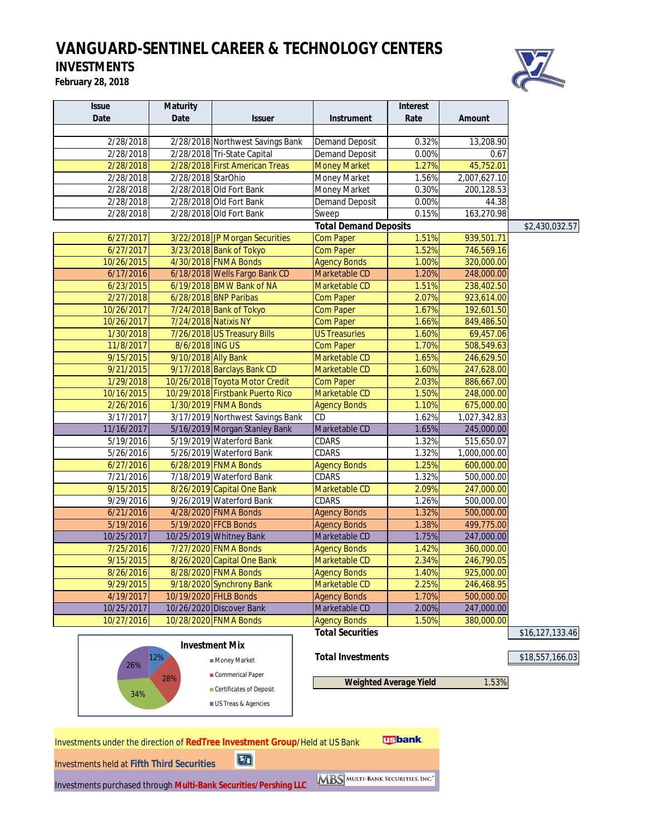# *VANGUARD-SENTINEL CAREER & TECHNOLOGY CENTERS*

# **INVESTMENTS**

**February 28, 2018**



| <b>Maturity</b> |               |                                                                                                                                                                                                                                                                                                                                                                                                                                                                                                                                                                                                                                                                                                                                                                                                                                                                                                                                                                                                                                                                                                            | <b>Interest</b>                                                                                                                               |                                                |                          |
|-----------------|---------------|------------------------------------------------------------------------------------------------------------------------------------------------------------------------------------------------------------------------------------------------------------------------------------------------------------------------------------------------------------------------------------------------------------------------------------------------------------------------------------------------------------------------------------------------------------------------------------------------------------------------------------------------------------------------------------------------------------------------------------------------------------------------------------------------------------------------------------------------------------------------------------------------------------------------------------------------------------------------------------------------------------------------------------------------------------------------------------------------------------|-----------------------------------------------------------------------------------------------------------------------------------------------|------------------------------------------------|--------------------------|
| <b>Date</b>     | <b>Issuer</b> | <b>Instrument</b>                                                                                                                                                                                                                                                                                                                                                                                                                                                                                                                                                                                                                                                                                                                                                                                                                                                                                                                                                                                                                                                                                          | Rate                                                                                                                                          | <b>Amount</b>                                  |                          |
|                 |               |                                                                                                                                                                                                                                                                                                                                                                                                                                                                                                                                                                                                                                                                                                                                                                                                                                                                                                                                                                                                                                                                                                            |                                                                                                                                               |                                                |                          |
|                 |               |                                                                                                                                                                                                                                                                                                                                                                                                                                                                                                                                                                                                                                                                                                                                                                                                                                                                                                                                                                                                                                                                                                            |                                                                                                                                               | 13,208.90                                      |                          |
|                 |               | <b>Demand Deposit</b>                                                                                                                                                                                                                                                                                                                                                                                                                                                                                                                                                                                                                                                                                                                                                                                                                                                                                                                                                                                                                                                                                      | 0.00%                                                                                                                                         | 0.67                                           |                          |
|                 |               | <b>Money Market</b>                                                                                                                                                                                                                                                                                                                                                                                                                                                                                                                                                                                                                                                                                                                                                                                                                                                                                                                                                                                                                                                                                        | 1.27%                                                                                                                                         | 45,752.01                                      |                          |
|                 |               | Money Market                                                                                                                                                                                                                                                                                                                                                                                                                                                                                                                                                                                                                                                                                                                                                                                                                                                                                                                                                                                                                                                                                               | 1.56%                                                                                                                                         | 2,007,627.10                                   |                          |
|                 |               | Money Market                                                                                                                                                                                                                                                                                                                                                                                                                                                                                                                                                                                                                                                                                                                                                                                                                                                                                                                                                                                                                                                                                               | 0.30%                                                                                                                                         | 200,128.53                                     |                          |
|                 |               |                                                                                                                                                                                                                                                                                                                                                                                                                                                                                                                                                                                                                                                                                                                                                                                                                                                                                                                                                                                                                                                                                                            | 0.00%                                                                                                                                         | 44.38                                          |                          |
|                 |               | Sweep                                                                                                                                                                                                                                                                                                                                                                                                                                                                                                                                                                                                                                                                                                                                                                                                                                                                                                                                                                                                                                                                                                      |                                                                                                                                               |                                                |                          |
|                 |               |                                                                                                                                                                                                                                                                                                                                                                                                                                                                                                                                                                                                                                                                                                                                                                                                                                                                                                                                                                                                                                                                                                            |                                                                                                                                               |                                                | \$2,430,032.57           |
|                 |               | <b>Com Paper</b>                                                                                                                                                                                                                                                                                                                                                                                                                                                                                                                                                                                                                                                                                                                                                                                                                                                                                                                                                                                                                                                                                           | 1.51%                                                                                                                                         | 939,501.71                                     |                          |
|                 |               | <b>Com Paper</b>                                                                                                                                                                                                                                                                                                                                                                                                                                                                                                                                                                                                                                                                                                                                                                                                                                                                                                                                                                                                                                                                                           | 1.52%                                                                                                                                         | 746,569.16                                     |                          |
|                 |               | <b>Agency Bonds</b>                                                                                                                                                                                                                                                                                                                                                                                                                                                                                                                                                                                                                                                                                                                                                                                                                                                                                                                                                                                                                                                                                        | 1.00%                                                                                                                                         | 320,000.00                                     |                          |
|                 |               | Marketable CD                                                                                                                                                                                                                                                                                                                                                                                                                                                                                                                                                                                                                                                                                                                                                                                                                                                                                                                                                                                                                                                                                              | 1.20%                                                                                                                                         | 248,000.00                                     |                          |
|                 |               | Marketable CD                                                                                                                                                                                                                                                                                                                                                                                                                                                                                                                                                                                                                                                                                                                                                                                                                                                                                                                                                                                                                                                                                              | 1.51%                                                                                                                                         | 238,402.50                                     |                          |
|                 |               | <b>Com Paper</b>                                                                                                                                                                                                                                                                                                                                                                                                                                                                                                                                                                                                                                                                                                                                                                                                                                                                                                                                                                                                                                                                                           | 2.07%                                                                                                                                         | 923,614.00                                     |                          |
|                 |               | <b>Com Paper</b>                                                                                                                                                                                                                                                                                                                                                                                                                                                                                                                                                                                                                                                                                                                                                                                                                                                                                                                                                                                                                                                                                           | 1.67%                                                                                                                                         | 192,601.50                                     |                          |
|                 |               | <b>Com Paper</b>                                                                                                                                                                                                                                                                                                                                                                                                                                                                                                                                                                                                                                                                                                                                                                                                                                                                                                                                                                                                                                                                                           | 1.66%                                                                                                                                         | 849,486.50                                     |                          |
|                 |               | <b>US Treasuries</b>                                                                                                                                                                                                                                                                                                                                                                                                                                                                                                                                                                                                                                                                                                                                                                                                                                                                                                                                                                                                                                                                                       | 1.60%                                                                                                                                         | 69,457.06                                      |                          |
|                 |               | Com Paper                                                                                                                                                                                                                                                                                                                                                                                                                                                                                                                                                                                                                                                                                                                                                                                                                                                                                                                                                                                                                                                                                                  | 1.70%                                                                                                                                         | 508,549.63                                     |                          |
|                 |               | Marketable CD                                                                                                                                                                                                                                                                                                                                                                                                                                                                                                                                                                                                                                                                                                                                                                                                                                                                                                                                                                                                                                                                                              | 1.65%                                                                                                                                         | 246,629.50                                     |                          |
|                 |               | Marketable CD                                                                                                                                                                                                                                                                                                                                                                                                                                                                                                                                                                                                                                                                                                                                                                                                                                                                                                                                                                                                                                                                                              | 1.60%                                                                                                                                         | 247,628.00                                     |                          |
|                 |               | <b>Com Paper</b>                                                                                                                                                                                                                                                                                                                                                                                                                                                                                                                                                                                                                                                                                                                                                                                                                                                                                                                                                                                                                                                                                           | 2.03%                                                                                                                                         | 886,667.00                                     |                          |
|                 |               | Marketable CD                                                                                                                                                                                                                                                                                                                                                                                                                                                                                                                                                                                                                                                                                                                                                                                                                                                                                                                                                                                                                                                                                              | 1.50%                                                                                                                                         | 248,000.00                                     |                          |
|                 |               | <b>Agency Bonds</b>                                                                                                                                                                                                                                                                                                                                                                                                                                                                                                                                                                                                                                                                                                                                                                                                                                                                                                                                                                                                                                                                                        | 1.10%                                                                                                                                         | 675,000.00                                     |                          |
|                 |               | CD                                                                                                                                                                                                                                                                                                                                                                                                                                                                                                                                                                                                                                                                                                                                                                                                                                                                                                                                                                                                                                                                                                         | 1.62%                                                                                                                                         | 1,027,342.83                                   |                          |
|                 |               | Marketable CD                                                                                                                                                                                                                                                                                                                                                                                                                                                                                                                                                                                                                                                                                                                                                                                                                                                                                                                                                                                                                                                                                              | 1.65%                                                                                                                                         | 245,000.00                                     |                          |
|                 |               | CDARS                                                                                                                                                                                                                                                                                                                                                                                                                                                                                                                                                                                                                                                                                                                                                                                                                                                                                                                                                                                                                                                                                                      | 1.32%                                                                                                                                         | 515,650.07                                     |                          |
|                 |               | CDARS                                                                                                                                                                                                                                                                                                                                                                                                                                                                                                                                                                                                                                                                                                                                                                                                                                                                                                                                                                                                                                                                                                      | 1.32%                                                                                                                                         | 1,000,000.00                                   |                          |
|                 |               | <b>Agency Bonds</b>                                                                                                                                                                                                                                                                                                                                                                                                                                                                                                                                                                                                                                                                                                                                                                                                                                                                                                                                                                                                                                                                                        | 1.25%                                                                                                                                         | 600,000.00                                     |                          |
|                 |               | CDARS                                                                                                                                                                                                                                                                                                                                                                                                                                                                                                                                                                                                                                                                                                                                                                                                                                                                                                                                                                                                                                                                                                      | 1.32%                                                                                                                                         | 500,000.00                                     |                          |
|                 |               | Marketable CD                                                                                                                                                                                                                                                                                                                                                                                                                                                                                                                                                                                                                                                                                                                                                                                                                                                                                                                                                                                                                                                                                              | 2.09%                                                                                                                                         | 247,000.00                                     |                          |
|                 |               | CDARS                                                                                                                                                                                                                                                                                                                                                                                                                                                                                                                                                                                                                                                                                                                                                                                                                                                                                                                                                                                                                                                                                                      | 1.26%                                                                                                                                         | 500,000.00                                     |                          |
|                 |               | <b>Agency Bonds</b>                                                                                                                                                                                                                                                                                                                                                                                                                                                                                                                                                                                                                                                                                                                                                                                                                                                                                                                                                                                                                                                                                        | 1.32%                                                                                                                                         | 500,000.00                                     |                          |
|                 |               | <b>Agency Bonds</b>                                                                                                                                                                                                                                                                                                                                                                                                                                                                                                                                                                                                                                                                                                                                                                                                                                                                                                                                                                                                                                                                                        | 1.38%                                                                                                                                         | 499,775.00                                     |                          |
|                 |               | Marketable CD                                                                                                                                                                                                                                                                                                                                                                                                                                                                                                                                                                                                                                                                                                                                                                                                                                                                                                                                                                                                                                                                                              | 1.75%                                                                                                                                         | 247,000.00                                     |                          |
|                 |               | <b>Agency Bonds</b>                                                                                                                                                                                                                                                                                                                                                                                                                                                                                                                                                                                                                                                                                                                                                                                                                                                                                                                                                                                                                                                                                        | 1.42%                                                                                                                                         | 360,000.00                                     |                          |
|                 |               | Marketable CD                                                                                                                                                                                                                                                                                                                                                                                                                                                                                                                                                                                                                                                                                                                                                                                                                                                                                                                                                                                                                                                                                              | 2.34%                                                                                                                                         | 246,790.05                                     |                          |
|                 |               |                                                                                                                                                                                                                                                                                                                                                                                                                                                                                                                                                                                                                                                                                                                                                                                                                                                                                                                                                                                                                                                                                                            | 1.40%                                                                                                                                         |                                                |                          |
|                 |               | Marketable CD                                                                                                                                                                                                                                                                                                                                                                                                                                                                                                                                                                                                                                                                                                                                                                                                                                                                                                                                                                                                                                                                                              | 2.25%                                                                                                                                         | 246,468.95                                     |                          |
|                 |               | <b>Agency Bonds</b>                                                                                                                                                                                                                                                                                                                                                                                                                                                                                                                                                                                                                                                                                                                                                                                                                                                                                                                                                                                                                                                                                        | 1.70%                                                                                                                                         | 500,000.00                                     |                          |
|                 |               | Marketable CD                                                                                                                                                                                                                                                                                                                                                                                                                                                                                                                                                                                                                                                                                                                                                                                                                                                                                                                                                                                                                                                                                              | 2.00%                                                                                                                                         | 247,000.00                                     |                          |
|                 |               | <b>Agency Bonds</b>                                                                                                                                                                                                                                                                                                                                                                                                                                                                                                                                                                                                                                                                                                                                                                                                                                                                                                                                                                                                                                                                                        | 1.50%                                                                                                                                         | 380,000.00                                     |                          |
|                 |               | <b>Total Securities</b>                                                                                                                                                                                                                                                                                                                                                                                                                                                                                                                                                                                                                                                                                                                                                                                                                                                                                                                                                                                                                                                                                    |                                                                                                                                               |                                                | \$16,127,133.46          |
|                 |               |                                                                                                                                                                                                                                                                                                                                                                                                                                                                                                                                                                                                                                                                                                                                                                                                                                                                                                                                                                                                                                                                                                            |                                                                                                                                               |                                                |                          |
|                 |               |                                                                                                                                                                                                                                                                                                                                                                                                                                                                                                                                                                                                                                                                                                                                                                                                                                                                                                                                                                                                                                                                                                            |                                                                                                                                               |                                                |                          |
| 12%             | Money Market  | <b>Total Investments</b>                                                                                                                                                                                                                                                                                                                                                                                                                                                                                                                                                                                                                                                                                                                                                                                                                                                                                                                                                                                                                                                                                   |                                                                                                                                               |                                                | \$18,557,166.03          |
|                 |               | 2/28/2018 Tri-State Capital<br>2/28/2018 First American Treas<br>2/28/2018 StarOhio<br>2/28/2018 Old Fort Bank<br>2/28/2018 Old Fort Bank<br>2/28/2018 Old Fort Bank<br>3/22/2018 JP Morgan Securities<br>3/23/2018 Bank of Tokyo<br>4/30/2018 FNMA Bonds<br>6/18/2018 Wells Fargo Bank CD<br>6/19/2018 BMW Bank of NA<br>6/28/2018 BNP Paribas<br>7/24/2018 Bank of Tokyo<br>7/24/2018 Natixis NY<br>7/26/2018 US Treasury Bills<br>8/6/2018 ING US<br>9/10/2018 Ally Bank<br>9/17/2018 Barclays Bank CD<br>10/26/2018 Toyota Motor Credit<br>10/29/2018 Firstbank Puerto Rico<br>1/30/2019 FNMA Bonds<br>5/16/2019 Morgan Stanley Bank<br>5/19/2019 Waterford Bank<br>5/26/2019 Waterford Bank<br>6/28/2019 FNMA Bonds<br>7/18/2019 Waterford Bank<br>8/26/2019 Capital One Bank<br>9/26/2019 Waterford Bank<br>4/28/2020 FNMA Bonds<br>5/19/2020 FFCB Bonds<br>10/25/2019 Whitney Bank<br>7/27/2020 FNMA Bonds<br>8/26/2020 Capital One Bank<br>8/28/2020 FNMA Bonds<br>9/18/2020 Synchrony Bank<br>10/19/2020 FHLB Bonds<br>10/26/2020 Discover Bank<br>10/28/2020 FNMA Bonds<br><b>Investment Mix</b> | 2/28/2018 Northwest Savings Bank<br><b>Demand Deposit</b><br><b>Demand Deposit</b><br>3/17/2019 Northwest Savings Bank<br><b>Agency Bonds</b> | 0.32%<br>0.15%<br><b>Total Demand Deposits</b> | 163,270.98<br>925,000.00 |

**Weighted Average Yield** 1.53%



**Certificates of Deposit** US Treas & Agencies

28%

34%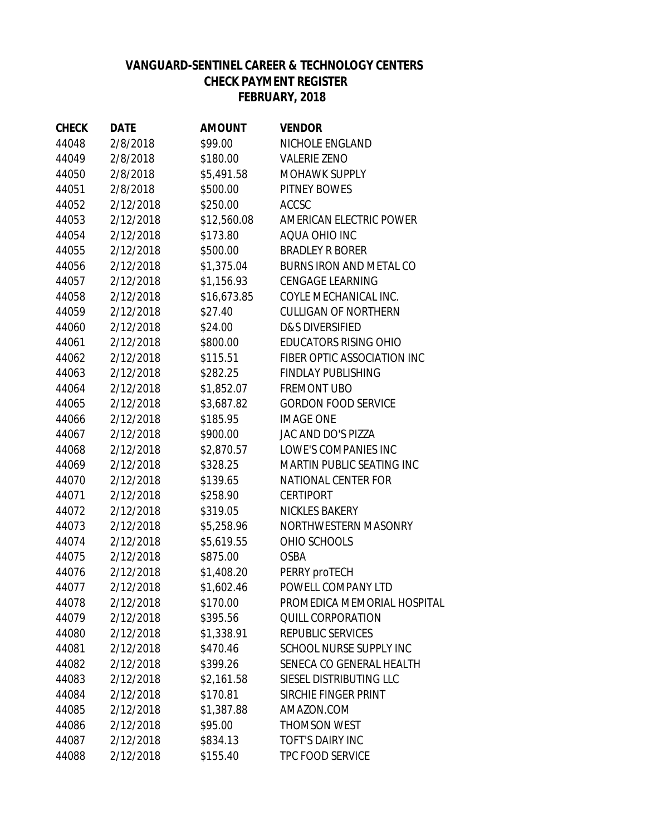# **VANGUARD-SENTINEL CAREER & TECHNOLOGY CENTERS CHECK PAYMENT REGISTER JANUARY, 2018 FEBRUARY, 2018**

| <b>CHECK</b> | <b>DATE</b> | <b>AMOUNT</b> | <b>VENDOR</b>                  |
|--------------|-------------|---------------|--------------------------------|
| 44048        | 2/8/2018    | \$99.00       | NICHOLE ENGLAND                |
| 44049        | 2/8/2018    | \$180.00      | <b>VALERIE ZENO</b>            |
| 44050        | 2/8/2018    | \$5,491.58    | <b>MOHAWK SUPPLY</b>           |
| 44051        | 2/8/2018    | \$500.00      | <b>PITNEY BOWES</b>            |
| 44052        | 2/12/2018   | \$250.00      | <b>ACCSC</b>                   |
| 44053        | 2/12/2018   | \$12,560.08   | AMERICAN ELECTRIC POWER        |
| 44054        | 2/12/2018   | \$173.80      | AQUA OHIO INC                  |
| 44055        | 2/12/2018   | \$500.00      | <b>BRADLEY R BORER</b>         |
| 44056        | 2/12/2018   | \$1,375.04    | <b>BURNS IRON AND METAL CO</b> |
| 44057        | 2/12/2018   | \$1,156.93    | <b>CENGAGE LEARNING</b>        |
| 44058        | 2/12/2018   | \$16,673.85   | COYLE MECHANICAL INC.          |
| 44059        | 2/12/2018   | \$27.40       | <b>CULLIGAN OF NORTHERN</b>    |
| 44060        | 2/12/2018   | \$24.00       | <b>D&amp;S DIVERSIFIED</b>     |
| 44061        | 2/12/2018   | \$800.00      | <b>EDUCATORS RISING OHIO</b>   |
| 44062        | 2/12/2018   | \$115.51      | FIBER OPTIC ASSOCIATION INC    |
| 44063        | 2/12/2018   | \$282.25      | <b>FINDLAY PUBLISHING</b>      |
| 44064        | 2/12/2018   | \$1,852.07    | <b>FREMONT UBO</b>             |
| 44065        | 2/12/2018   | \$3,687.82    | <b>GORDON FOOD SERVICE</b>     |
| 44066        | 2/12/2018   | \$185.95      | <b>IMAGE ONE</b>               |
| 44067        | 2/12/2018   | \$900.00      | JAC AND DO'S PIZZA             |
| 44068        | 2/12/2018   | \$2,870.57    | LOWE'S COMPANIES INC           |
| 44069        | 2/12/2018   | \$328.25      | MARTIN PUBLIC SEATING INC      |
| 44070        | 2/12/2018   | \$139.65      | <b>NATIONAL CENTER FOR</b>     |
| 44071        | 2/12/2018   | \$258.90      | <b>CERTIPORT</b>               |
| 44072        | 2/12/2018   | \$319.05      | <b>NICKLES BAKERY</b>          |
| 44073        | 2/12/2018   | \$5,258.96    | NORTHWESTERN MASONRY           |
| 44074        | 2/12/2018   | \$5,619.55    | OHIO SCHOOLS                   |
| 44075        | 2/12/2018   | \$875.00      | <b>OSBA</b>                    |
| 44076        | 2/12/2018   | \$1,408.20    | PERRY proTECH                  |
| 44077        | 2/12/2018   | \$1,602.46    | POWELL COMPANY LTD             |
| 44078        | 2/12/2018   | \$170.00      | PROMEDICA MEMORIAL HOSPITAL    |
| 44079        | 2/12/2018   | \$395.56      | <b>QUILL CORPORATION</b>       |
| 44080        | 2/12/2018   | \$1,338.91    | REPUBLIC SERVICES              |
| 44081        | 2/12/2018   | \$470.46      | SCHOOL NURSE SUPPLY INC        |
| 44082        | 2/12/2018   | \$399.26      | SENECA CO GENERAL HEALTH       |
| 44083        | 2/12/2018   | \$2,161.58    | SIESEL DISTRIBUTING LLC        |
| 44084        | 2/12/2018   | \$170.81      | SIRCHIE FINGER PRINT           |
| 44085        | 2/12/2018   | \$1,387.88    | AMAZON.COM                     |
| 44086        | 2/12/2018   | \$95.00       | THOMSON WEST                   |
| 44087        | 2/12/2018   | \$834.13      | <b>TOFT'S DAIRY INC</b>        |
| 44088        | 2/12/2018   | \$155.40      | TPC FOOD SERVICE               |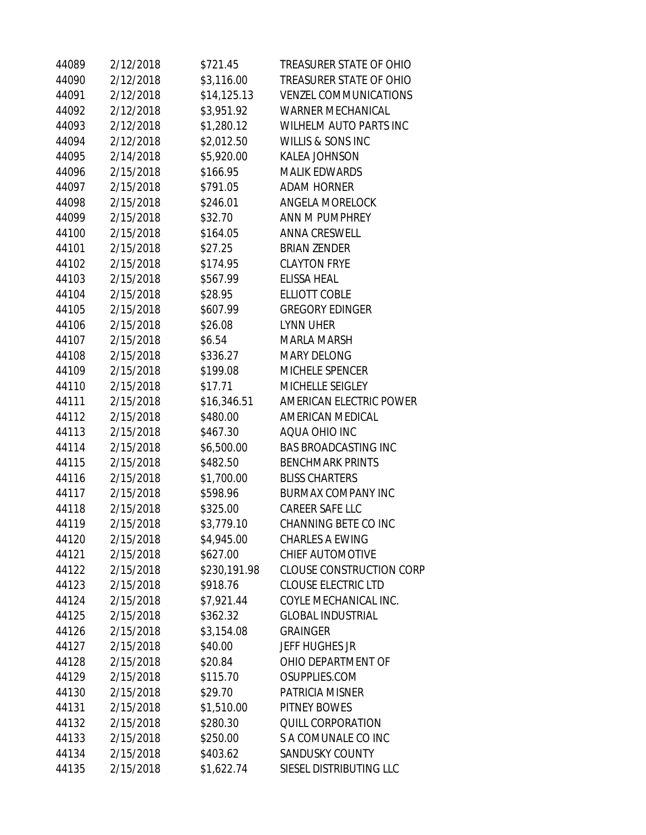| 44089 | 2/12/2018 | \$721.45     | TREASURER STATE OF OHIO         |
|-------|-----------|--------------|---------------------------------|
| 44090 | 2/12/2018 | \$3,116.00   | <b>TREASURER STATE OF OHIO</b>  |
| 44091 | 2/12/2018 | \$14,125.13  | <b>VENZEL COMMUNICATIONS</b>    |
| 44092 | 2/12/2018 | \$3,951.92   | <b>WARNER MECHANICAL</b>        |
| 44093 | 2/12/2018 | \$1,280.12   | <b>WILHELM AUTO PARTS INC</b>   |
| 44094 | 2/12/2018 | \$2,012.50   | WILLIS & SONS INC               |
| 44095 | 2/14/2018 | \$5,920.00   | <b>KALEA JOHNSON</b>            |
| 44096 | 2/15/2018 | \$166.95     | <b>MALIK EDWARDS</b>            |
| 44097 | 2/15/2018 | \$791.05     | <b>ADAM HORNER</b>              |
| 44098 | 2/15/2018 | \$246.01     | <b>ANGELA MORELOCK</b>          |
| 44099 | 2/15/2018 | \$32.70      | ANN M PUMPHREY                  |
| 44100 | 2/15/2018 | \$164.05     | <b>ANNA CRESWELL</b>            |
| 44101 | 2/15/2018 | \$27.25      | <b>BRIAN ZENDER</b>             |
| 44102 | 2/15/2018 | \$174.95     | <b>CLAYTON FRYE</b>             |
| 44103 | 2/15/2018 | \$567.99     | <b>ELISSA HEAL</b>              |
| 44104 | 2/15/2018 | \$28.95      | <b>ELLIOTT COBLE</b>            |
| 44105 | 2/15/2018 | \$607.99     | <b>GREGORY EDINGER</b>          |
| 44106 | 2/15/2018 | \$26.08      | <b>LYNN UHER</b>                |
| 44107 | 2/15/2018 | \$6.54       | <b>MARLA MARSH</b>              |
| 44108 | 2/15/2018 | \$336.27     | <b>MARY DELONG</b>              |
| 44109 | 2/15/2018 | \$199.08     | MICHELE SPENCER                 |
| 44110 | 2/15/2018 | \$17.71      | MICHELLE SEIGLEY                |
| 44111 | 2/15/2018 | \$16,346.51  | AMERICAN ELECTRIC POWER         |
| 44112 | 2/15/2018 | \$480.00     | AMERICAN MEDICAL                |
| 44113 | 2/15/2018 | \$467.30     | AQUA OHIO INC                   |
| 44114 | 2/15/2018 | \$6,500.00   | <b>BAS BROADCASTING INC</b>     |
| 44115 | 2/15/2018 | \$482.50     | <b>BENCHMARK PRINTS</b>         |
| 44116 | 2/15/2018 | \$1,700.00   | <b>BLISS CHARTERS</b>           |
| 44117 | 2/15/2018 | \$598.96     | <b>BURMAX COMPANY INC</b>       |
| 44118 | 2/15/2018 | \$325.00     | <b>CAREER SAFE LLC</b>          |
| 44119 | 2/15/2018 | \$3,779.10   | CHANNING BETE CO INC            |
| 44120 | 2/15/2018 | \$4,945.00   | <b>CHARLES A EWING</b>          |
| 44121 | 2/15/2018 | \$627.00     | CHIEF AUTOMOTIVE                |
| 44122 | 2/15/2018 | \$230,191.98 | <b>CLOUSE CONSTRUCTION CORP</b> |
| 44123 | 2/15/2018 | \$918.76     | <b>CLOUSE ELECTRIC LTD</b>      |
| 44124 | 2/15/2018 | \$7,921.44   | COYLE MECHANICAL INC.           |
| 44125 | 2/15/2018 | \$362.32     | <b>GLOBAL INDUSTRIAL</b>        |
| 44126 | 2/15/2018 | \$3,154.08   | <b>GRAINGER</b>                 |
| 44127 | 2/15/2018 | \$40.00      | <b>JEFF HUGHES JR</b>           |
| 44128 | 2/15/2018 | \$20.84      | OHIO DEPARTMENT OF              |
| 44129 | 2/15/2018 | \$115.70     | OSUPPLIES.COM                   |
| 44130 | 2/15/2018 | \$29.70      | PATRICIA MISNER                 |
| 44131 | 2/15/2018 | \$1,510.00   | PITNEY BOWES                    |
| 44132 | 2/15/2018 | \$280.30     | QUILL CORPORATION               |
| 44133 | 2/15/2018 | \$250.00     | S A COMUNALE CO INC             |
| 44134 | 2/15/2018 | \$403.62     | <b>SANDUSKY COUNTY</b>          |
| 44135 | 2/15/2018 | \$1,622.74   | SIESEL DISTRIBUTING LLC         |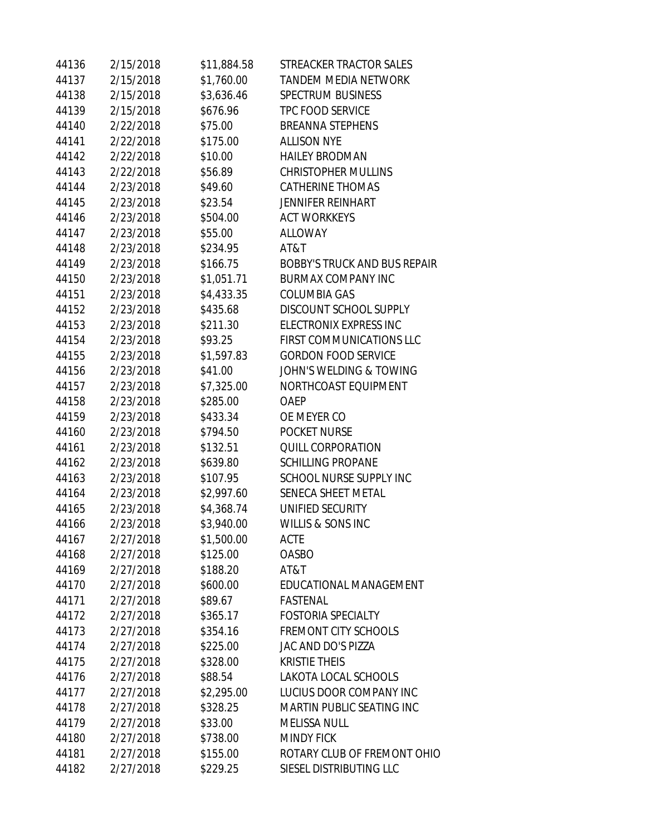| 44136 | 2/15/2018 | \$11,884.58 | STREACKER TRACTOR SALES             |
|-------|-----------|-------------|-------------------------------------|
| 44137 | 2/15/2018 | \$1,760.00  | <b>TANDEM MEDIA NETWORK</b>         |
| 44138 | 2/15/2018 | \$3,636.46  | <b>SPECTRUM BUSINESS</b>            |
| 44139 | 2/15/2018 | \$676.96    | TPC FOOD SERVICE                    |
| 44140 | 2/22/2018 | \$75.00     | <b>BREANNA STEPHENS</b>             |
| 44141 | 2/22/2018 | \$175.00    | <b>ALLISON NYE</b>                  |
| 44142 | 2/22/2018 | \$10.00     | <b>HAILEY BRODMAN</b>               |
| 44143 | 2/22/2018 | \$56.89     | <b>CHRISTOPHER MULLINS</b>          |
| 44144 | 2/23/2018 | \$49.60     | <b>CATHERINE THOMAS</b>             |
| 44145 | 2/23/2018 | \$23.54     | <b>JENNIFER REINHART</b>            |
| 44146 | 2/23/2018 | \$504.00    | <b>ACT WORKKEYS</b>                 |
| 44147 | 2/23/2018 | \$55.00     | <b>ALLOWAY</b>                      |
| 44148 | 2/23/2018 | \$234.95    | AT&T                                |
| 44149 | 2/23/2018 | \$166.75    | <b>BOBBY'S TRUCK AND BUS REPAIR</b> |
| 44150 | 2/23/2018 | \$1,051.71  | <b>BURMAX COMPANY INC</b>           |
| 44151 | 2/23/2018 | \$4,433.35  | <b>COLUMBIA GAS</b>                 |
| 44152 | 2/23/2018 | \$435.68    | DISCOUNT SCHOOL SUPPLY              |
| 44153 | 2/23/2018 | \$211.30    | ELECTRONIX EXPRESS INC              |
| 44154 | 2/23/2018 | \$93.25     | FIRST COMMUNICATIONS LLC            |
| 44155 | 2/23/2018 | \$1,597.83  | <b>GORDON FOOD SERVICE</b>          |
| 44156 | 2/23/2018 | \$41.00     | JOHN'S WELDING & TOWING             |
| 44157 | 2/23/2018 | \$7,325.00  | NORTHCOAST EQUIPMENT                |
| 44158 | 2/23/2018 | \$285.00    | <b>OAEP</b>                         |
| 44159 | 2/23/2018 | \$433.34    | OE MEYER CO                         |
| 44160 | 2/23/2018 | \$794.50    | <b>POCKET NURSE</b>                 |
| 44161 | 2/23/2018 | \$132.51    | QUILL CORPORATION                   |
| 44162 | 2/23/2018 | \$639.80    | <b>SCHILLING PROPANE</b>            |
| 44163 | 2/23/2018 | \$107.95    | SCHOOL NURSE SUPPLY INC             |
| 44164 | 2/23/2018 | \$2,997.60  | SENECA SHEET METAL                  |
| 44165 | 2/23/2018 | \$4,368.74  | UNIFIED SECURITY                    |
| 44166 | 2/23/2018 | \$3,940.00  | WILLIS & SONS INC                   |
| 44167 | 2/27/2018 | \$1,500.00  | <b>ACTE</b>                         |
| 44168 | 2/27/2018 | \$125.00    | <b>OASBO</b>                        |
| 44169 | 2/27/2018 | \$188.20    | AT&T                                |
| 44170 | 2/27/2018 | \$600.00    | EDUCATIONAL MANAGEMENT              |
| 44171 | 2/27/2018 | \$89.67     | <b>FASTENAL</b>                     |
| 44172 | 2/27/2018 | \$365.17    | <b>FOSTORIA SPECIALTY</b>           |
| 44173 | 2/27/2018 | \$354.16    | <b>FREMONT CITY SCHOOLS</b>         |
| 44174 | 2/27/2018 | \$225.00    | JAC AND DO'S PIZZA                  |
| 44175 | 2/27/2018 | \$328.00    | <b>KRISTIE THEIS</b>                |
| 44176 | 2/27/2018 | \$88.54     | LAKOTA LOCAL SCHOOLS                |
| 44177 | 2/27/2018 | \$2,295.00  | LUCIUS DOOR COMPANY INC             |
| 44178 | 2/27/2018 | \$328.25    | MARTIN PUBLIC SEATING INC           |
| 44179 | 2/27/2018 | \$33.00     | <b>MELISSA NULL</b>                 |
| 44180 | 2/27/2018 | \$738.00    | <b>MINDY FICK</b>                   |
| 44181 | 2/27/2018 | \$155.00    | ROTARY CLUB OF FREMONT OHIO         |
| 44182 | 2/27/2018 | \$229.25    | SIESEL DISTRIBUTING LLC             |